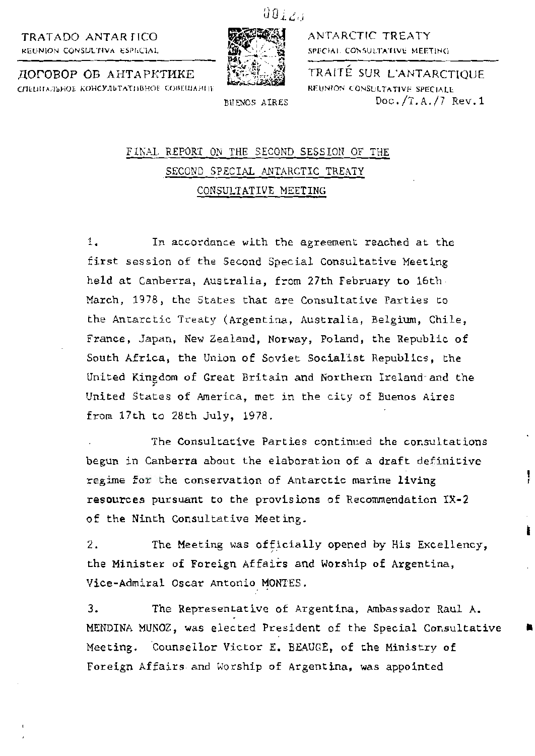TRATADO ANTAR FICO REUNION CONSULTIVA ESPI:CIAL

lIOf"OBOP OB AHT A PKTHKE CNELLIIAAbHOE KOHCYAbTATHBHOE COINILIAHHE



 $00$  i  $\epsilon_{\beta}$ 

BUENOS AIRES

ANTARCTIC TREATY SPECIAL. CONSULTATIVE MEETING.

,,. TRAlTE SUR L'ANTARCTIQUE REUNION CONSULTATIVE SPECIALE  $Doc. /T. A. /7. Rev.1$ 

i

# FIKAL REPORT ON THE SECOND SESSION OF THE SECOND SPECIAL ANTARCTIC TREATY CONSULTATIVE MEETING

1. In accordance with the agreement reached at the first session of the Second Special Consultative Meeting held at Canberra, Australia, from 27th February to 16th. March, 1978, the States that are Consultative Parties to the Antarctic Treaty (Argentina, Australia, Belgium, Chile, France, Japan, New Zealand, Norway, Poland, the Republic of South Africa, the Union of Soviet Social'ist Republics, the United Kingdom of Great Britain and Northern Ireland and the United States of America, met in the city of Buenos Aires from 17th to 28th July, 1978.

The Consultative Parties continued the consultations begun in Canberra about the elaboration of a draft definitive regime for the conservation of Antarctic marine living resources pursuant to the provisions of Recommendation IX-2 of the Ninth Consultative Meeting.

2. The Meeting was officially opened by His Excellency, the Minister of Foreign Affairs and Worship of Argentina, Vice-Admiral Oscar Antonio MONTES.

3. The Representative of Argentina, Ambassador Raul A. MENDINA MUNOZ, was elected President of the Special Consultative • Meeting. Counsellor Victor E. BEAUGE, of the Ministry of Foreign Affairs and Worship of Argentina, was appointed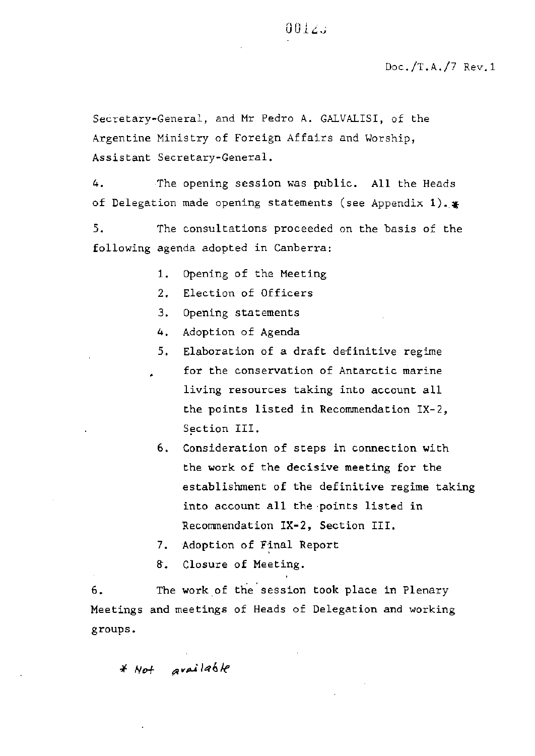## $0012J$

Secretary-General, and Mr Pedro A. GALVALISI, of the Argentine Ministry of Foreign Affairs and Worship, Assistant Secretary-General.

4. The opening session was public. All the Heads of Delegation made opening statements (see Appendix 1).  $\ast$ 

5. The consultations proceeded on the basis of the following agenda adopted in Canberra:

- 1. Opening of the Meeting
- 2. Election of Officers
- 3. Opening statements
- 4. Adoption of Agenda
- s. Elaboration of a draft definitive regime for the conservation of Antarctic marine living resources taking into account all the points listed in Recommendation IX-2, Section III.
- 6. Consideration of steps in connection with the work of the decisive meeting for the establishment of the definitive regime taking into account all the ·points listed in Recommendation IX-2, Section III.
- 7. Adoption of Final Report
- s·. Closure of Meeting.

6. The work of the session took place in Plenary Meetings and meetings of Heads of Delegation and working groups.

\* Not available

..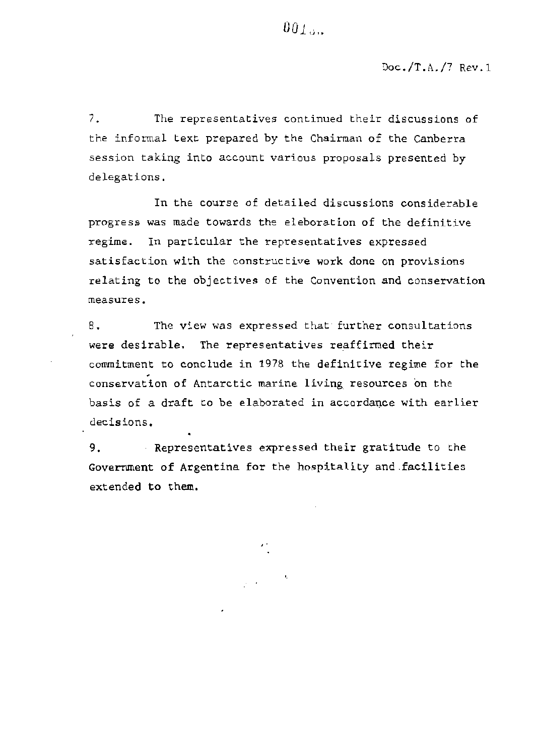Doc./T .A. /7 Rev.1

7. The representatives continued their discussions of the informal text prepared by the Chairman of the Canberra session taking into account various proposals presented by de legations.

In the course of detailed discussions considerable progress was made towards the eleboration of the definitive regime. In particular the representatives expressed satisfaction with the constructive work done on provisions relating to the objectives of the Convention and conservation measures.

B. The view was expressed that· further consultations were desirable. The representatives reaffirmed their commitment to conclude in 1978 the definitive regime for the conservation of Antarctic marine living resources on the basis of a draft to be elaborated in accordance with earlier decisions.

9. Representatives expressed their gratitude to the Government of Argentina for the hospitality and .facilities extended to them.

, '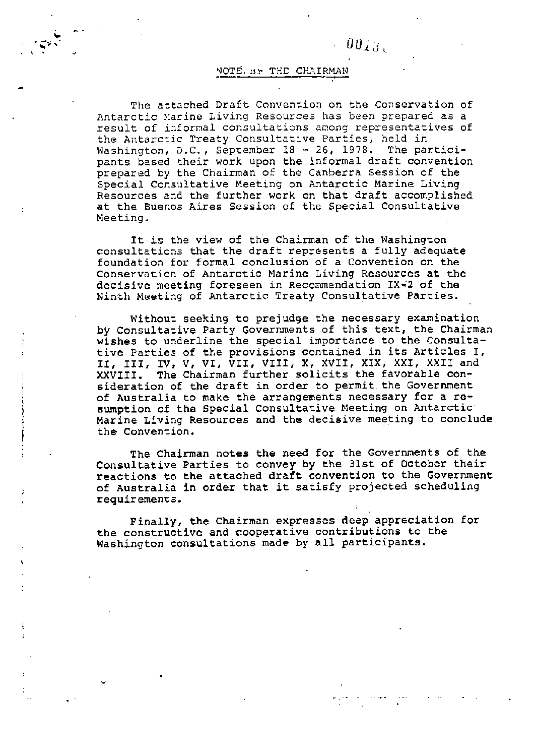### **NOTE, BY THE CHAIRMAN**

 $-0013<sub>k</sub>$ 

... .

 $\cdot$   $\vdots$ 

 $\downarrow$ 

The attached Draft Convention on the Conservation of Antarctic Marine Living Resources has been prepared as **a**  result of informal consultations among representatives of the Antarctic Treaty Consultative Parties, held in Washington, D.C., September 18 - 26, 1978. The participants based their work upon the informal draft convention prepared by the Chairman of the Canberra Session of the Special Consultative Meeting on Antarctic Marine Living Resources and the further work on that draft accomplished at the Buenos Aires Session of the Special Consultative **Meeting.** 

It is the view of the Chairman of the Washington consultations that the draft represents a fully adequate foundation for formal conclusion of a Convention on the Conservation of Antarctic Marine Living Resources at the decisive meeting foreseen in Recommendation  $IX = 2$  of the Ninth Meeting of Antarctic Treaty Consultative Parties.

Without seeking to prejudge the necessary examination by Consultative Party Governments of this text, the Chairman wishes to underline the special importance to the Consultawishes to undefifine the special importance to the consulta-<br>tive Parties of the provisions contained in its Articles I, II, III, IV, V, VI, VII, VIII, X, XVII, **XIX,** XXI, XXII and XXVIII. The Chairman further solicits the favorable consideration of the draft in order to permit the Government of Australia to make the arrangements necessary for a resumption of the Special Consultative Meeting on Antarctic· Marine Living Resources and the decisive meeting to conclude haring inting Researces and ensurescence mass

The Chairman notes the need for the Governments of the Consultative Parties to.convey by the 31st of October their reactions to the attached draft convention to the Government of Australia in order that it satisfy projected scheduling requirements.

Finally, the Chairman expresses deep appreciation for the constructive and cooperative contributions to the Washington consultations made by all participants.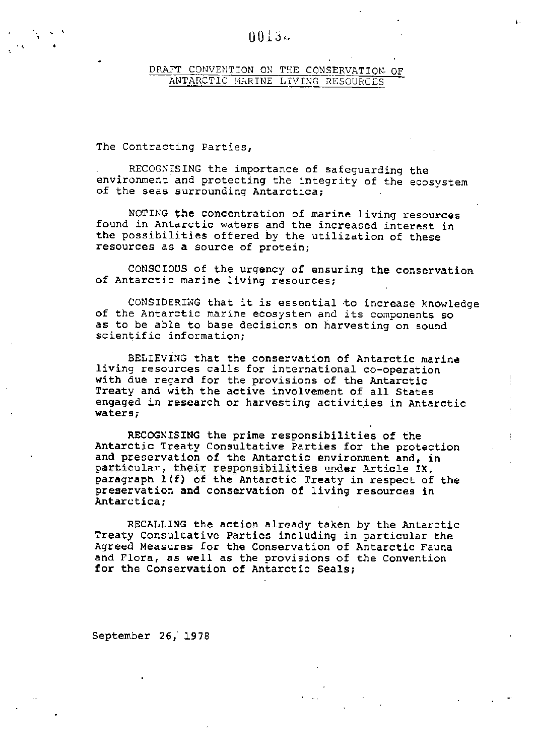### DRAFT CONVENTION ON THE CONSERVATION OF ANTARCTIC MARINE LIVING RESOURCES

The Contracting Parties,

RECOGNISING the importance of safeguarding the environment and protecting the integrity of the ecosystem of the seas surrounding Antarctica;

NOTING the concentration of marine living resources found in Antarctic waters and the increased interest in the possibilities offered by the utilization of these resources as a source of protein;

CONSCIOUS of the urgency of ensuring the conservation of Antarctic marine living resources;

CONSIDERING that it is essential to increase knowledge of the Antarctic marine ecosystem and its components so as to be able to base decisions on harvesting on sound scientific information:

BELIEVING that the conservation of Antarctic marine living resources calls for international co-operation with due regard for the provisions of the Antarctic Treaty and with the active involvement of all States engaged in research or harvesting activities in Antarctic waters;

RECOGNISING the prime responsibilities of the Antarctic Treaty Consultative Parties for the protection and preservation of the Antarctic environment and, in particular, their responsibilities under Article IX,<br>paragraph 1(f) of the Antarctic Treaty in respect of the preservation and conservation of living resources in Antarctica;

RECALLING the action already taken by the Antarctic Treaty Consultative Parties including in particular the Agreed Measures for the Conservation of Antarctic Fauna and Flora, as well as the provisions of the Convention for the Conservation of Antarctic Seals;

September 26, 1978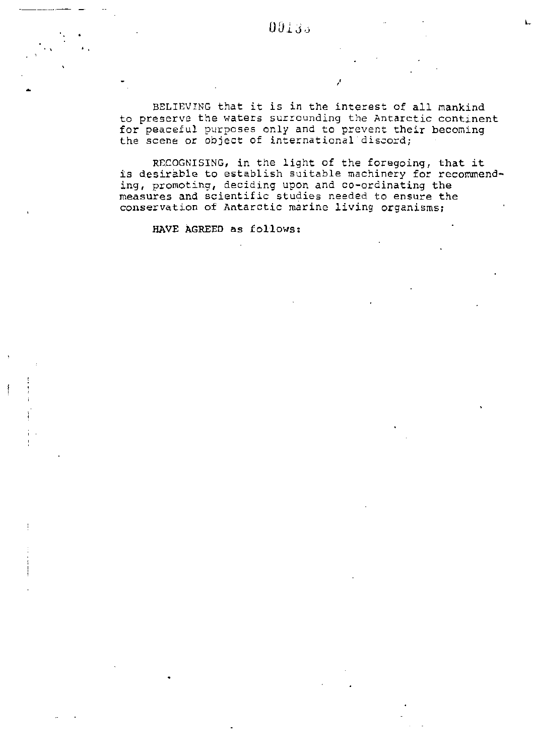BELIEVING that it is in the interest of all mankind to preserve the waters surrounding the Antarctic continent for peaceful purposes only and to prevent their becoming the scene or object of international discord;

,  $\overline{\phantom{a}}$ 

RECOGNISING, in the light of the foregoing, that it is desirable to establish suitable machinery for recommending, promoting, deciding upon and co-ordinating the measures and scientific studies needed to ensure the conservation of Antarctic marine living organisms;

**HAVE AGREED as follows:** 

 $\ddot{\phantom{0}}$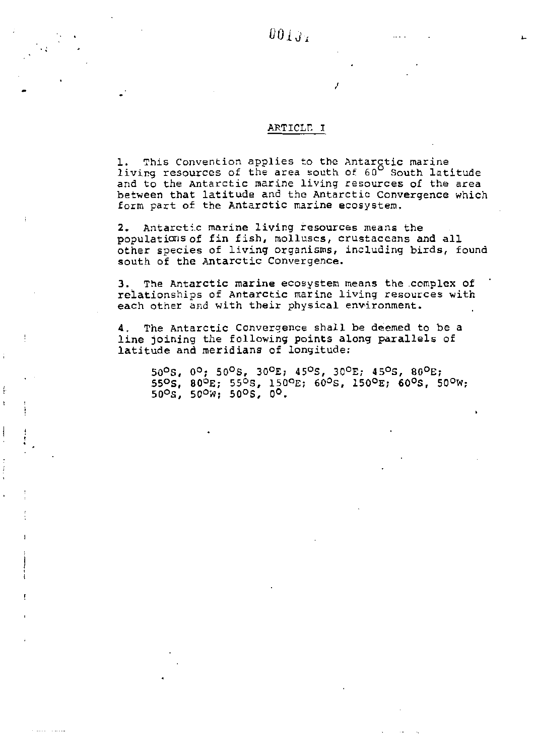#### **ARTICLC** I

I ,

1. This Convention applies to the Antargtic marine 1. This convencion applies to the modified mattime. and to the Antarctic marine living resources of the area between that latitude and the Antarctic Convergence which form part of the Antarctic marine ecosystem.

2. Antarctic marine living tesources means the populations of fin fish, molluscs, crustaceans and all other species of living organisms, including birds, found south of the Antarctic Convergence.

3. The Antarctic marine ecosystem means the .complex of relationships of Antarctic marine living resources with each other and with their physical environment.

**4.** The Antarctic Convergence shall be deemed to be a line joining the following points along parallels of latitude and meridians of longitude:

 $\alpha$  -  $\alpha$  ,  $\alpha$  ,  $\alpha$  ,  $\alpha$  ,  $\alpha$ 

**so0 s, o0 ; so0 s, 30°E; 45°s, 30°E; 45°s, so0 E;**   $55\%$  s,  $80\%$  E;  $55\%$  ,  $150\%$ ;  $60\%$ ,  $150\%$ ;  $60\%$ ,  $50\%$ ;  $50^{\circ}$ s, 50 $^{\circ}$ w; 50 $^{\circ}$ s, 0 $^{\circ}$ .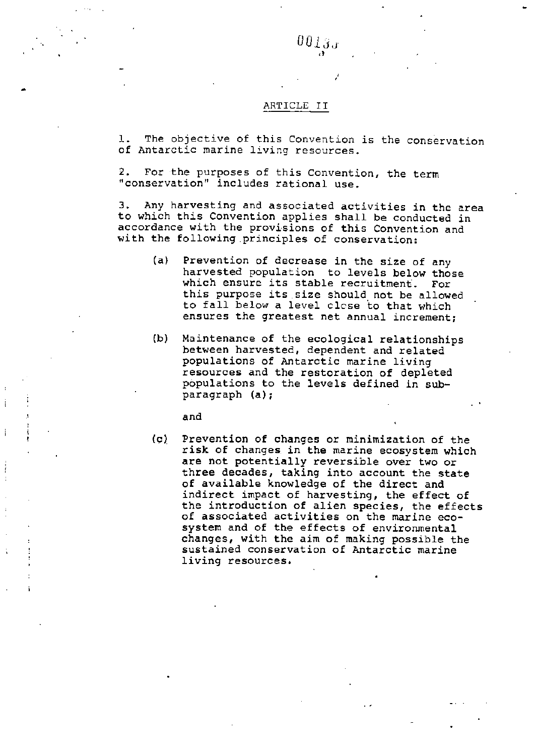### *OOlJ,1*   $\mathbf{a}$

I *I* 

#### ARTICLE II

The objective of this Convention is the conservation of Antarctic marine living resources.

2. For the purposes of this Convention, the term "conservation" includes rational use.

3. Any harvesting and associated activities in the area to which this Convention applies shall be conducted in accordance with the provisions of this Convention and with the following.principles of conservation:

- (a) Prevention of decrease in the size of any harvested population to levels below those which ensure its stable recruitment. For this purpose its size should not be allowed to fall below a level clcse to that which ensures the greatest net annual increment;
- (b) Maintenance of the ecological relationships between harvested, dependent and related populations of Antarctic marine living resources and the restoration of depleted populations to the levels defined in subparagraph (a):

' and ' and ' and ' and ' and ' and ' and ' and ' and ' and ' and ' and ' and ' and ' and ' and ' and ' and '

(c) Prevention of changes or minimization of the risk of changes in the marine ecosystem which are not potentially reversible over two or three decades, taking into account the state of available knowledge of the direct and indirect impact of harvesting, the effect of the introduction of alien species, the effects of associated activities on the marine ecosystem and of the effects of environmental changes, with the aim of making possible the sustained conservation of Antarctic marine living resources.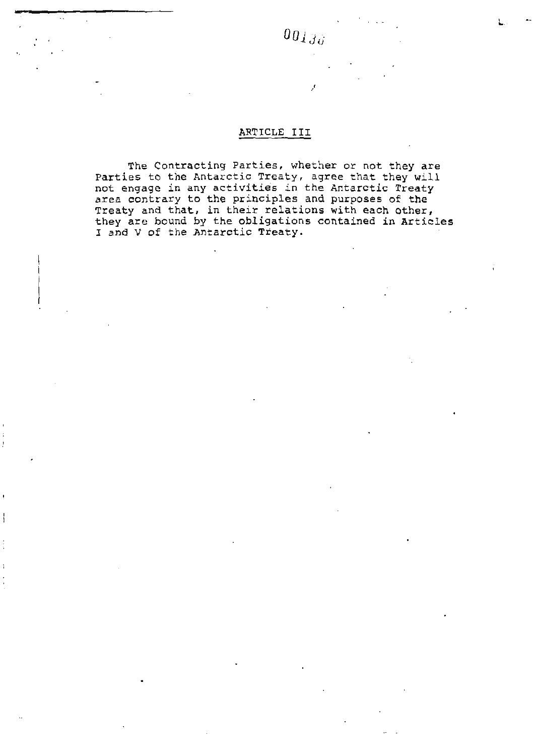### **ARTICLE** III

The Contracting Parties, whether or not they are The Contracting Parties, whether or not they are<br>Parties to the Antarctic Treaty, agree that they will not engage in any activities in the Antarctic Treaty area contrary to the principles and purposes of the Treaty and that, in their relations with each other, they are bound by the obligations contained in Articles I and V of the Antarctic Treaty.

*)* 

t. ~ ..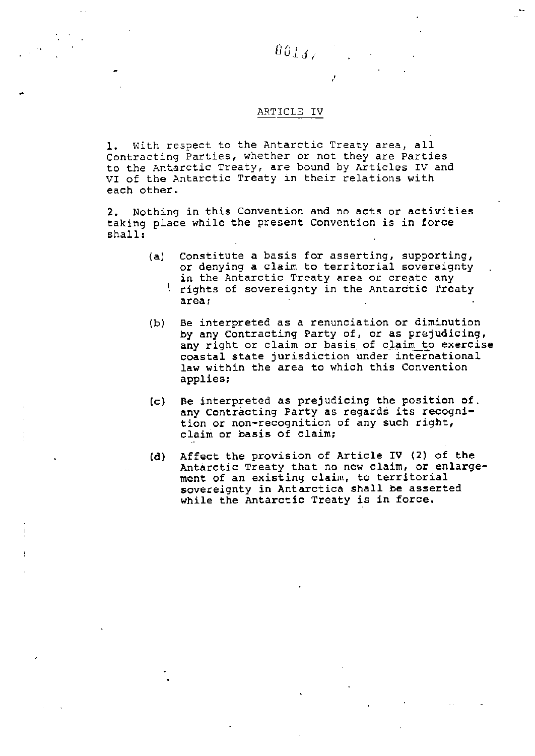#### ARTICLE IV

 $00137$ 

, •

..

1. With respect to the Antarctic Treaty area, all Contracting Parties, whether or not they are Parties to the Antarctic Treaty, are bound by Articles IV and VI of the Antarctic Treaty in their relations with each other.

2. Nothing in this Convention and no acts or activities taking place while the present Convention is in force shall:

- {a) Constitute a basis for asserting, supporting, or denying a claim to territorial sovereignty in the Antarctic Treaty area or create any I rights of sovereignty in the Antarctic Treaty area;
- (b) Be interpreted as a renunciation or diminution by any Contracting Party of, or as prejudicing, any right or claim or basis of claim to exercise coastal state jurisdiction under international law within the area to which this Convention applies;
- (c) Be interpreted as prejudicing the position of . any Contracting Party as regards its recognition or non-recognition of any such right, claim or basis of claim;
- (d} Affect the provision of Article IV (2) of the Antarctic Treaty that no new claim, or enlargement of an existing claim, to territorial sovereignty in Antarctica shall be asserted while the Antarctic Treaty is in force.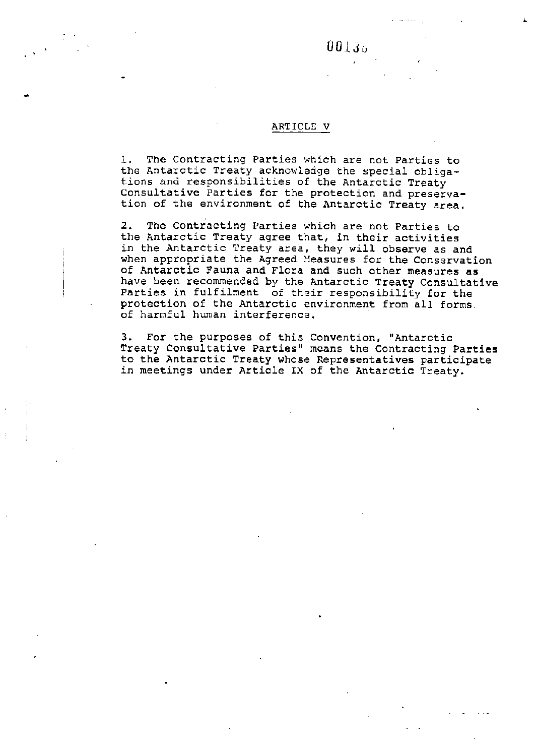#### **ARTICLE V**

..

l. The Contracting Parties which are not Parties to the Antarctic Treaty acknowledge the special obligations and responsibilities of the Antarctic Treaty Consultative Parties for the protection and preservation of the environment of the Antarctic Treaty area.

2. The Contracting Parties which are not Parties to the Antarctic Treaty agree that, in their activities in the Antarctic Treaty area, they will observe as and when appropriate the Agreed Measures for the Conservation of Antarctic Fauna and Flora and such other measures as have been recommended by the Antarctic Treaty Consultative Parties in fulfilment of their responsibility for the protection of the Antarctic environment from all forms. of harmful human interference.

3. For the purposes of this Convention, "Antarctic Treaty Consultative Parties" means the Contracting Parties to the Antarctic Treaty whose Representatives participate in meetings under Article IX of the Antarctic Treaty.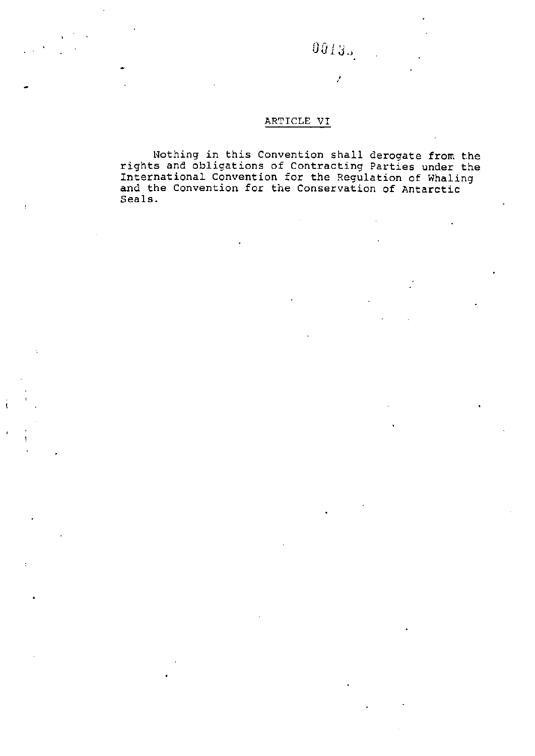$0013.5$ 

Ź

### ARTICLE VI

Nothing in this Convention shall derogate from the<br>rights and obligations of Contracting Parties under the<br>International Convention for the Regulation of Whaling<br>and the Convention for the Conservation of Antarctic Seals.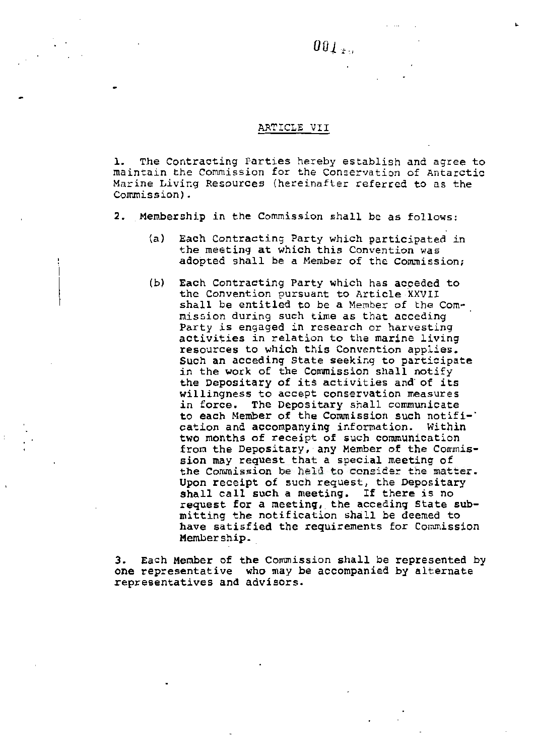$001\, \ldots$ 

..

### ARTICLE VII

1. The Contracting Parties hereby establish and agree to maintain the Commission for the Conservation of Antarctic Marine Living Resources (hereinafter referred to as the Commission).

- 2. Membership in the Commission shall be as follows:
	- (a) Each Contracting Party which participated in the meeting at which this Convention was adopted shall be a Member of the Commission;
	- (b) Each Contracting Party which has acceded to the Convention pursuant to Article·XXVII shall be entitled to be a Member of the Commission during such time as that acceding Party is engaged in research or harvesting **activiiies in** relation to the marine living resources to which this Convention applies. Such an acceding State seeking to participate in the work of the Commission shall notify the Depositary of its activities and of its willingness to accept conservation measures in force. The Depositary shall communicate to **each** Member of the Commission such notifi-· cation and accompanying information. Within two months of receipt of such communication from the Depositary, any Member of the Commission may request that a special meeting of the Commission be held to considsr the matter. Upon receipt of such request, the Depositary shall call such a meeting. If there is no request for a meeting, the acceding State submitting the notification shall be deemed to have satisfied the requirements for Commission Membership.

3. Each Member of the Commission shall be represented by one representative who may be accompanied by alternate representatives and advisors.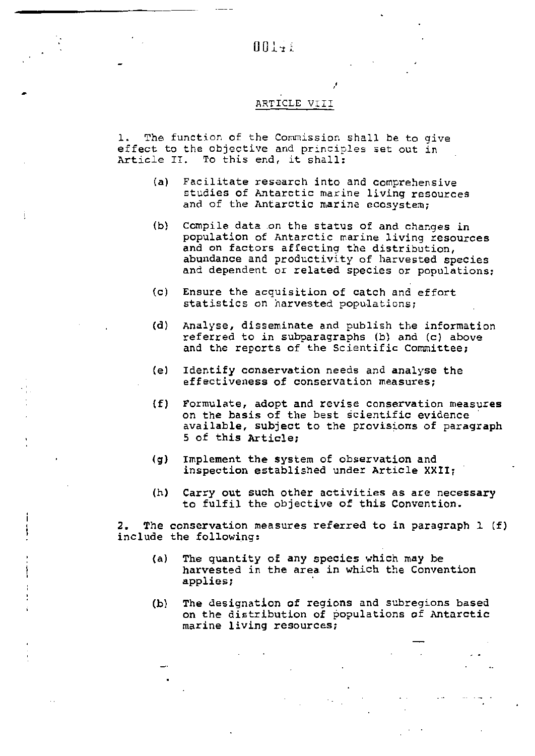### ARTICLE VIII

1. The function of the Commission shall be to give effect to the objective and principles set out in Article II. To this end, it shall:

- (a) Facilitate research into and comprehensive studies of Antarctic marine living resources and of the Antarctic marine ecosystem;
- (b) Compile data on the status of and changes in population of Antarctic marine living resources and on factors affecting the distribution, abundance and productivity of harvested species and dependent or related species or populations;

I *I* 

- (c) Ensure the acquisition of catch and effort statistics on harvested populations;
- (d) Analyse, disseminate and publish the information referred to in subparagraphs (b) and (c) above and the reports of the Scientific Committee;
- $(e)$  Identify conservation needs and analyse the effectiveness of conservation measures:

 $\frac{1}{1+\epsilon}$ 

- (f) Formulate, adopt and revise conservation measures on the basis of the best scientific evidence available, subject to the provisions of paragraph <sup>5</sup>of this Article;
- (g} Implement the system of observation and inspection established under Article XXII;
- (h) Carry out such other activities as are necessary to fulfil the objective of this Convention.

*2.* The conservation measures referred to in paragraph 1 (f) include the following:

- (a) The quantity of any species which may be harvested in the area in which the Convention applies;
- (b) The designation of regions and subregions based on the distribution of populations of Antarctic marine living resources;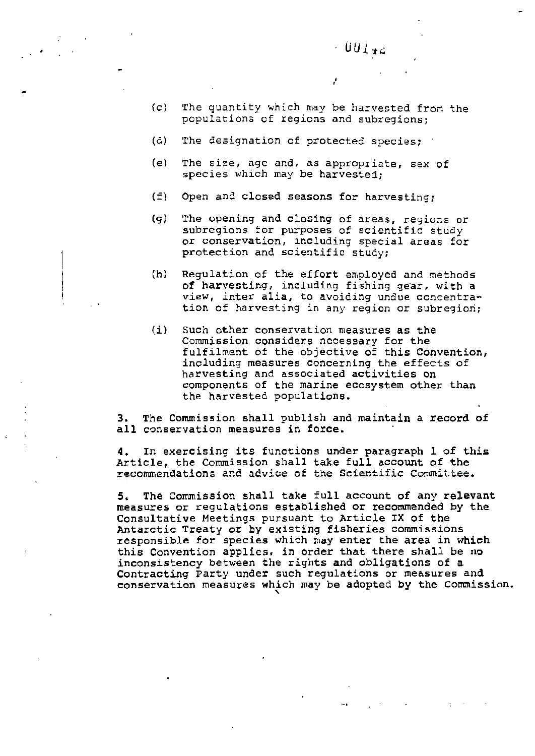(c) The quantity which may be harvested from the populations of regions and subregions;

*I* '

- (d) The designation of protected species;
- (e) The size, age and, as appropriate, sex of species which may be harvested;
- (f) Open and closed seasons for harvesting;

. ,

- (g) The opening and closing of areas, regions or subregions for purposes of scientific study or conservation, including special areas for protection and scientific study;
- (h) Regulation of the effort employed and methods of harvesting, including fishing gear, with a view, inter alia, to avoiding undue concentration of harvesting in any region or subregion;
- (i) Such other conservation measures as the Commission considers necessary for the fulfilment of the objective of this Convention, including measures concerning the effects of harvesting and associated activities on components of the marine ecosystem other than the harvested populations.

3. The Commission shall publish and maintain a record of all conservation measures in force.

4. In exercising its functions under paragraph 1 of this Article, the Commission shall take full account of the reconunendations and advice of the Scientific Committee.

5. The Commission shall take full account of any relevant **measures** or regulations established or recommended by the Consultative Meetings pursuant to Article IX of the Antarctic Treaty or by existing fisheries commissions responsible for species which may enter the area in which this Convention applies, in order that there shall be no inconsistency between the rights and obligations of a Contracting Party under such regulations or measures and conservation measures which may be adopted by the Commission. '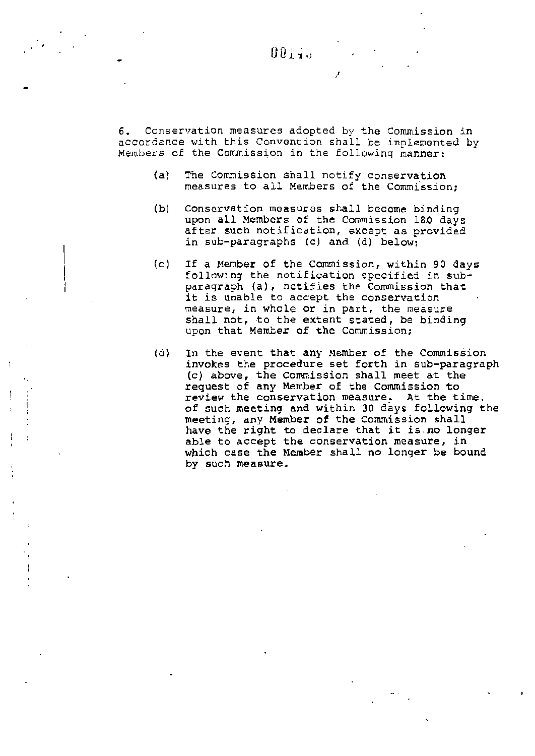6. Conservation measures adopted by the Commission i.n accordance with this Convention shall be implemented by Members of the Commission in the following manner:

- {a) The Commission shall notify conservation measures to all Members of the Commission;
- (b) Conservation measures shall become binding upon all Members of the Commission 180 days after such notification, except as provided in sub-paragraphs (c) and (d) below;
- (cl If a Member of the Commission, within 90 days following the notification specified in subparagraph (a), notifies the Commission that it is unable to accept the conservation measure, in whole or in part, the measure shall not, to the extent stated, be binding upon that Member of the Commission:
- (d) In the event that any Member of the Commission **invokes** the procedure set forth in sub-paragraph (c) above, the Commission shall meet at the request of any Member of the Commission to<br>review the conservation measure. At the time. of such meeting and within 30 days following the meeting, any Member. of the Commission shall have the right to declare that it is.no longer able to accept the conservation measure, in which case the Member shall no longer be bound by such measure.

I ,

;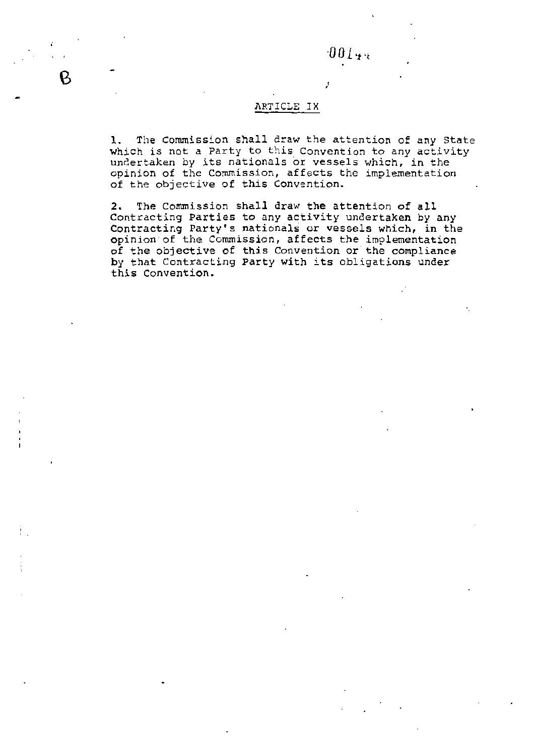# $001 \scriptscriptstyle{14}$

, *I* 

### ARTICLE IX

s

1. The Commission shall draw the attention of any State which is not a Party to this Convention to any activity undertaken by its nationals or vessels which, in the opinion of the Commission, affects the implementation of the objective of this Convention.

2. The Commission shall draw the attention of all Contracting Parties to any activity undertaken by any Contracting Party's nationals or vessels which, in the opinion' of the Commission, affects the implementation of the objective of this Convention or the compliance by that Contracting Party with its obligations under this Convention.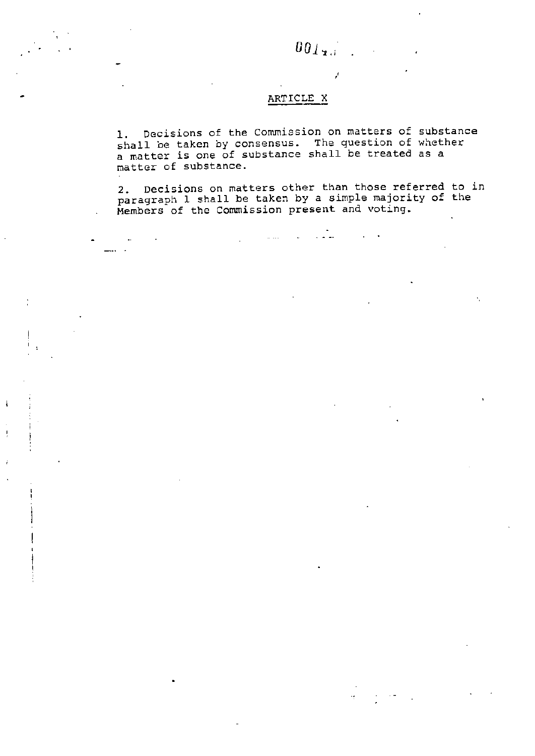# $001$  x d  $\sim$

, *I* 

### ARTICLE X

1. Decisions of the Commission on matters of substance 1. Decisions of the commission on massess of statement shall be taken by consensus. The gassing of answer matter of substance.

2. Decisions on matters other than those referred to in paragraph 1 shall be taken by a simple majority of the Members of the Commission present and voting.

المتناسب

 $\sim 10^{-1}$ 

 $\sim$ 

 $\sim$ 

 $\sqrt{2}$  and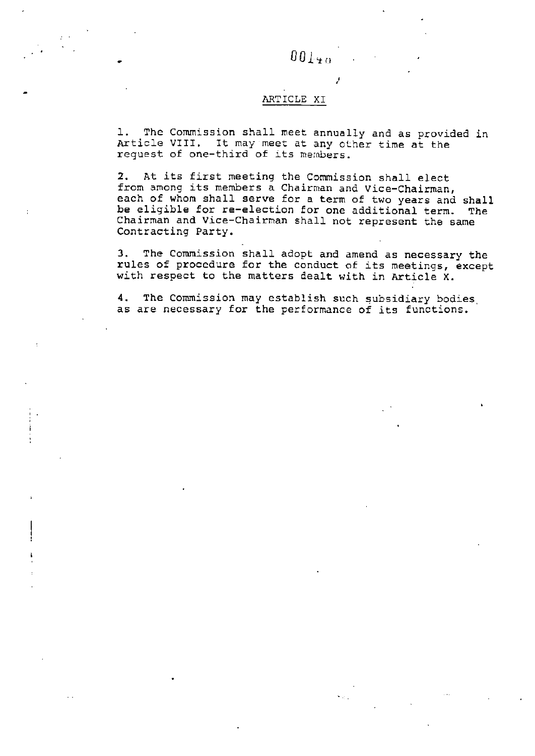# 001<sup>+</sup>

*)* 

### ARTICLE XI

1. The Commission shall meet annually and as provided in Article VIII. It may meet at any other time at the request of one-third of its members.

2. At its first meeting the Commission shall elect from among its members a Chairman and Vice-Chairman, each of whom shall serve for a term of two years and shall be eligible for re-election for one additional term. The Chairman and Vice-Chairman shall not represent the same Contracting Party.

3. The Commission shall adopt and amend as necessary the rules of procedure for the conduct of its meetings, except with respect to the matters dealt with in Article X.

4. The Commission may establish such subsidiary bodies<sub>.</sub> as are necessary for the performance of its functions.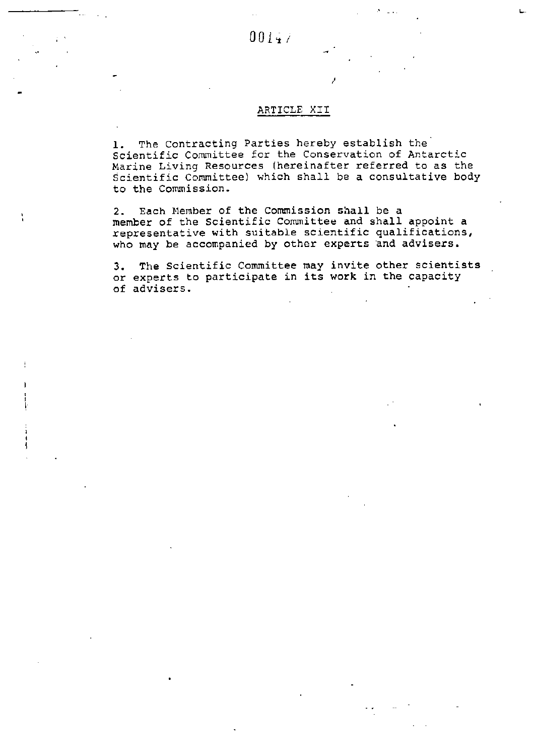# *001~,*

#### ARTICLE XII

*I* 

I.,.

1. The Contracting Parties hereby establish the Scientific Committee for the Conservation of Antarctic Marine Living Resources (hereinafter referred to as the Scientific Committee) which shall be a consultative body to the Commission.

2. Each Member of the Commission shall be a member of the Scientific Committee and shall appoint a representative with suitable scientific qualifications, who may be accompanied by other experts and advisers.

3. The Scientific Committee may invite other scientists or experts to participate in its work in the capacity of advisers.

: I I·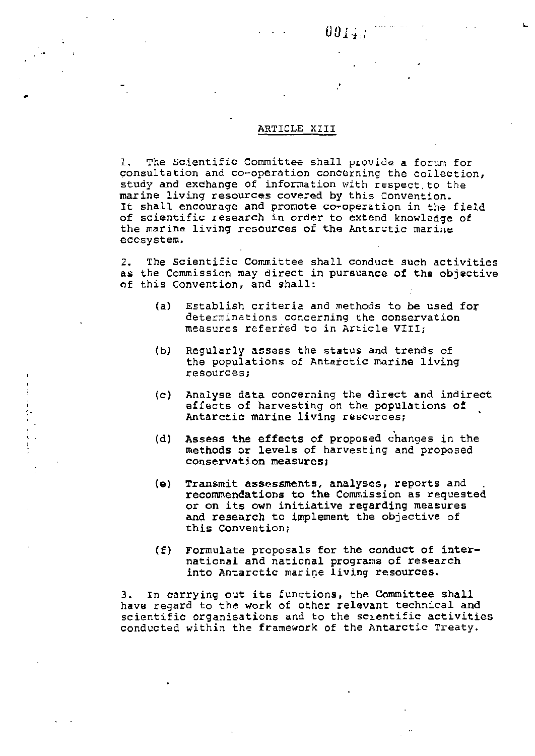### $0.014\pm0.01$

### ARTICLE XIII

1. The Scientific Committee shall provide a forum for consultation and co-operation concerning the collection, study and exchange of information with respect to the marine living resources covered by this Convention. It shall encourage and promote co-operation in the field of scientific research in order to extend knowledge of the marine living resources of the Antarctic marine ecosystem.

2. The Scientific Committee shall conduct such activities as the Commission may direct in pursuance of the objective of this Convention, and shall:

- (a) Establish criteria and methods to be used for determinations concerning the conservation measures referred to in Article **VIII ;**
- (b) Regularly **assess** the status and trends of the populations of Antarctic marine living resources;
- (c) Analyse data concerning the direct and indirect effects of harvesting on the populations of Antarctic marine living resources;
- . (d) Assess. the effects of proposed changes in the methods or levels of harvesting and proposed conservation measures;
- (e} Transmit assessments, analyses, reports and . recommendations to the Commission as requested or on its own initiative regarding measures and research to implement the objective of this Convention;
- (f) Formulate proposals for the conduct of international and national programs of research into Antarctic marine living resources.

3. In carrying out its functions, the Committee shall have regard to the work of other relevant technical and scientific organisatiohs and to the scientific activities conducted within the framework of the Antarctic Treaty.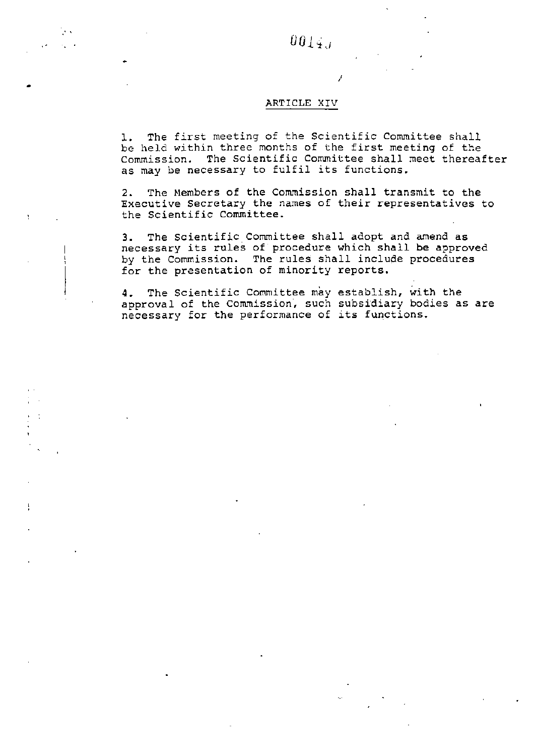# $0014J$

*I* 

..

#### **ARTICLE XIV**

1. The first meeting of the Scientific Committee shall be held within three months of the first meeting of the Commission. The Scientific Committee shall meet thereafter as may be necessary to fulfil its functions.

*2.* The Members of the Commission shall transmit to the Executive Secretary the names of their representatives to the Scientific Committee.

3. The Scientific Committee shall adopt and amend as necessary its rules of procedure which shall be approved by the Commission. The rules shall include procedures for the presentation of minority reports.

4. The Scientific Committee may establish, with the approval of the Commission, such subsidiary bodies as are necessary for the performance of its functions.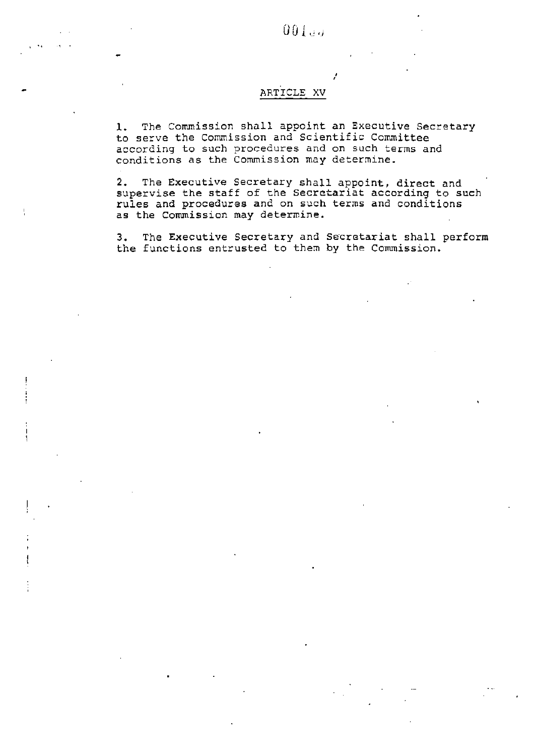### ARTICLE XV

1. The Commission shall appoint an Executive Secretary to serve the Commission and Scientific Committee according to such procedures and on such terms and conditions as the Commission may determine.

2. The Executive Secretary shall appoint, direct and<br>supervise the staff of the Secretariat according to such rules and procedures and on such terms and conditions as the Commission may determine.

 $3.$ The Executive Secretary and Secretariat shall perform the functions entrusted to them by the Commission.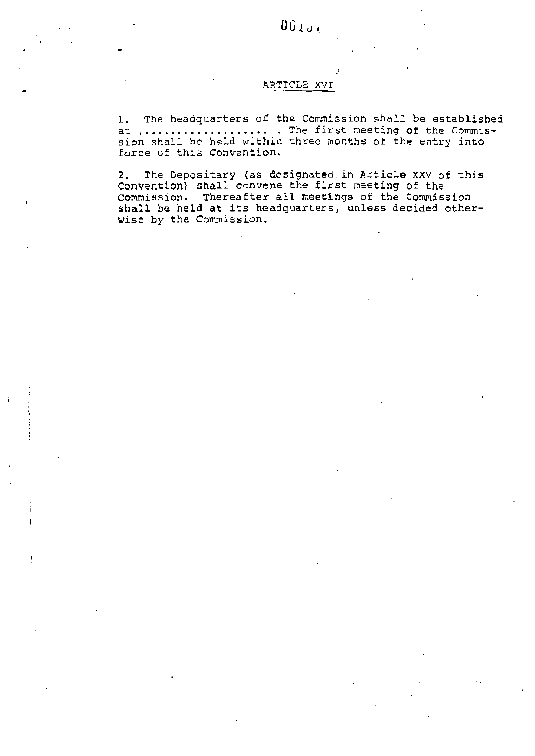### **ARTICLE XVI**

1. The headquarters of the Commission shall be established at ................... The first meeting of the Commission shall be held within three months of the entry into force of this Convention.

, *I* 

2. The Depositary (as designated in Article XXV of this Convention) shall convene the first meeting of the Commission. Thereafter all meetings of the Commission shall be held at its headquarters, unless decided otherwise by the Commission.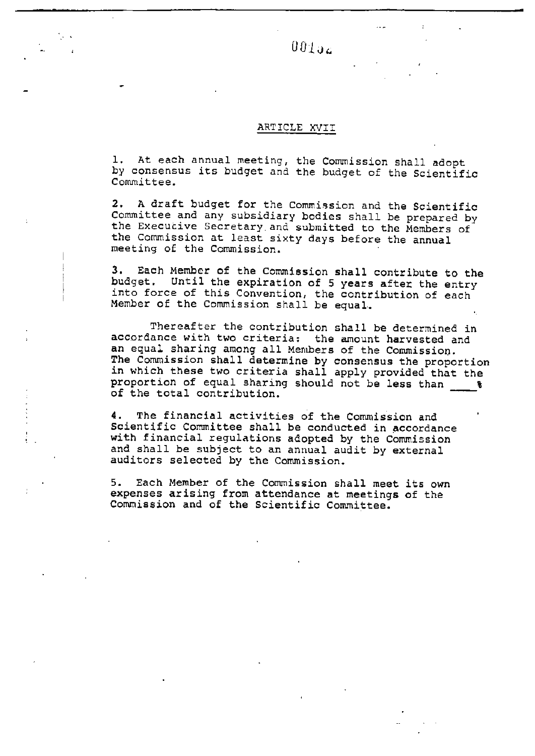### ARTICLE XVII

1. At each annual meeting, the Commission shall adopt by consensus its budget and the budget of the Scientific Committee.

2. A draft budget for the Commission and the Scientific Committee and any subsidiary bodies shall be prepared by the Executive Secretary.and submitted to the Members of the Commission at least sixty days before the annual meeting of the Commission.

3. Each Member of the Commission shall contribute to the budget. Until the expiration of 5 years after the entry into force of this Convention, the contribution of each Member of the Commission shall be equal-.

Thereafter the contribution shall be determined in accordance with two criteria: the amount harvested and an equal sharing among all Members of the Commission. The Commission shall determine by consensus the proportion in which these two criteria shall apply provided that the proportion of equal sharing should not be less than , of the total contribution.

4. The financial activities of the Commission and Scientific Committee shall be conducted in accordance with financial regulations adopted by the Commission and shall be subject to an annual audit by external auditors selected by the Commission.

5. Each Member of the Conunission shall meet its own expenses arising from attendance at meetings of the Commission and of the Scientific Committee.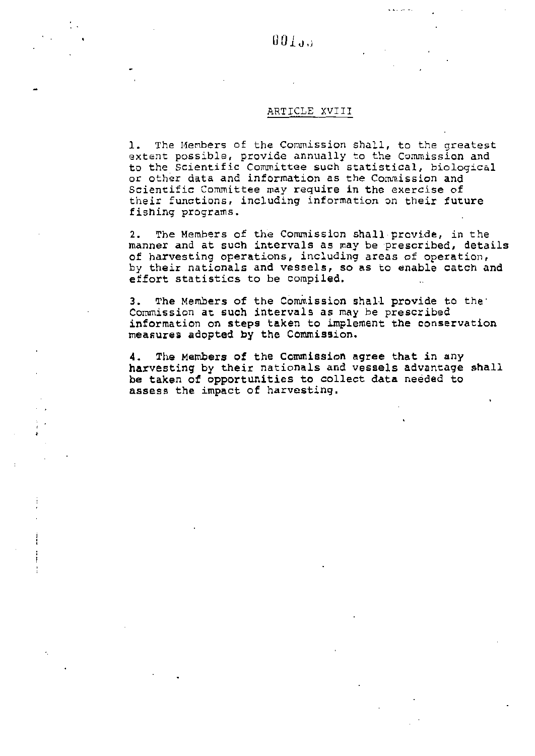#### ARTICLE XVIII

1. The Members of the Commission shall, to the greatest extent possible, provide annually to the Commission and to the Scientific Committee such statistical, biological or other data and information as the Commission and Scientific Committee may require in the exercise of their functions, including information on their future fishing programs.

2. The Members of the Commission shall provide, in the manner and at such intervals as may be prescribed, details of harvesting operations, including areas of operation, by their nationals and vessels, so as to enable catch and effort statistics to be compiled.

3. The Members of the Commission shall provide to the Commission at such intervals as may be prescribed information on steps **taken** to implement the conservation measures adopted by the Commission.

4. The Members of the Commission **agree** that in any harvesting by their nationals and vessels advantage shall be taken of opportunities to collect data needed to assess the impact of harvesting.

j •  $\mathbf{i}$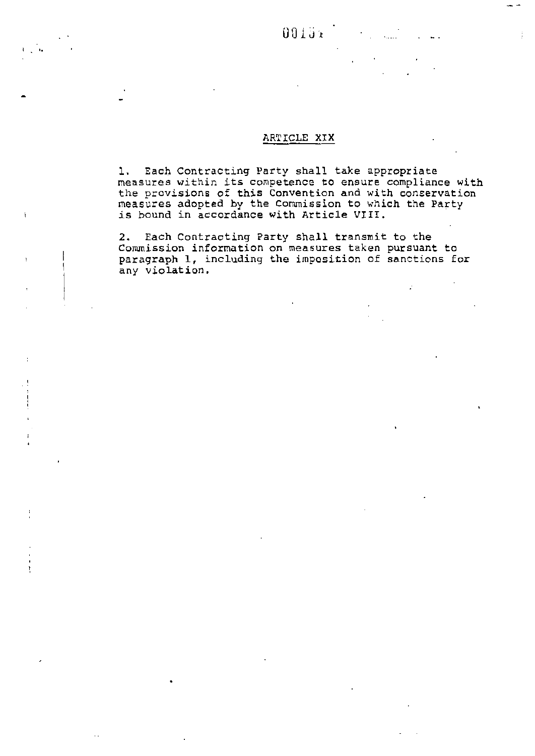### ARTICLE XIX

1. Each Contracting Party shall take appropriate 1. Each Contracting raity shaif take appropriate<br>measures within its competence to ensure compliance with mediates within its completion to charge compliance with measures adopted by the Commission to which the Party is bound in accordance with Article VIII.

2. Each Contracting Party shall transmit to the Commission information on measures taken pursuant to paragraph 1, including the imposition of sanctions for any violation.

 $\ddotsc$ 

 $\cdot$ 

...

ţ,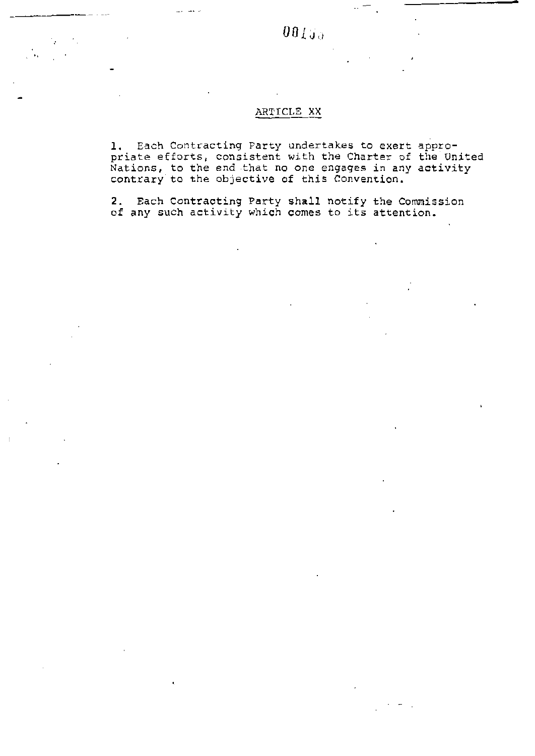### ARTICLE XX

**1.** Each Contracting Party undertakes to exert appro-1. Bach concructing rare, and cance as each apple Nations, to the end that no one engages in any activity contrary to the objective of this Convention.

2. Each Contracting Party shall notify the Commission 2. Each contracting rarty shaft hotify the commits:<br>of any such activity which comes to its attention.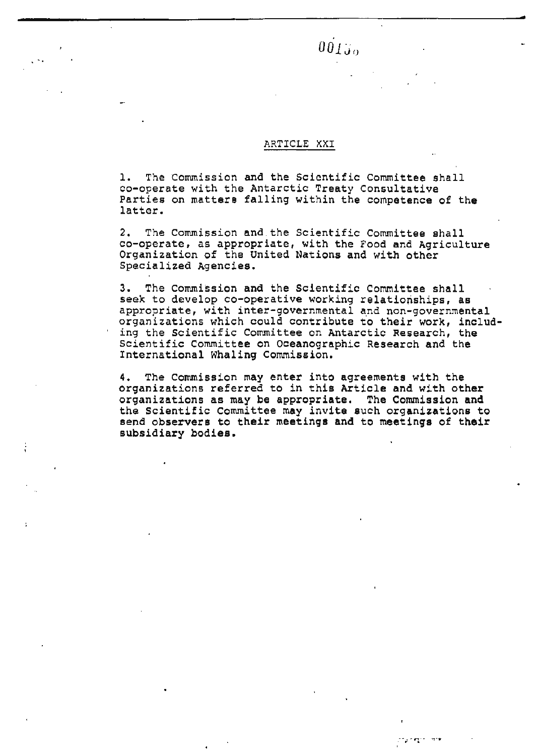$0015<sub>o</sub>$ 

#### ARTICLE XXI

1. The Commission and the Scientific Committee shall co-operate with the Antarctic Treaty Consultative Parties on matters falling within the competence of the latter.

2. The Commission and.the Scientific Committee shall co-operate, as appropriate, with the Food and Agriculture Organization of the United Nations and with other Specialized Agencies.

3. The Commission and the Scientific Committee shall seek to develop co-operative working relationships, as appropriate, with inter-governmental and non-governmental organizations which could contribute to their work, including the Scientific Committee on Antarctic Research, the Scientific Committee on Oceanographic Research and the International Whaling Commission.

4. The Commission may enter into agreements with the organizations referred to in this Article and with other organizations as may be appropriate. The Commission and the Scientific Committee may invite such organizations to send observers to their meetings and to meetings of their subsidiary bodies.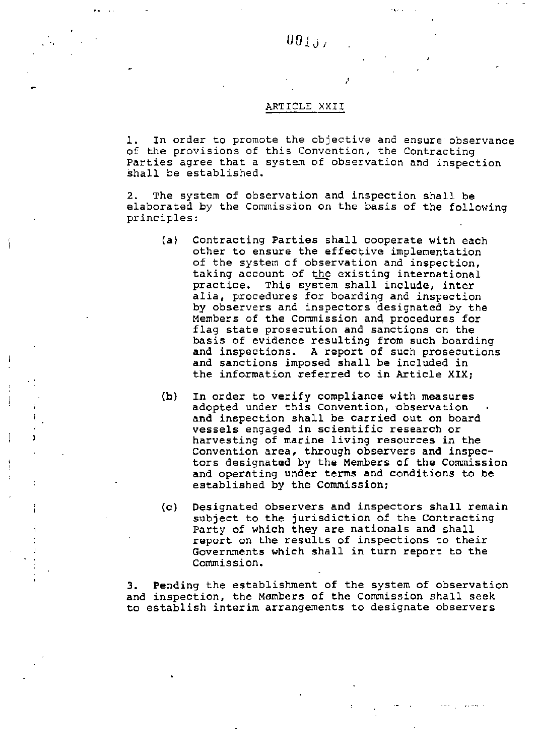# *DDlJ1*

#### ARTICLE **XXII**

1. In order to promote the objective and ensure observance of the provisions of this Convention, the Contracting Parties agree that a system of observation and inspection shall be established.

,'

2. The system of observation and inspection shall be elaborated by the Commission on the basis of the following principles:

- (a) Contracting Parties shall cooperate with each other to ensure the effective implementation of the system of observation and inspection,<br>taking account of the existing international taking account of the existing international<br>practice. This system shall include, inter alia, procedures for boarding and inspection by observers and inspectors designated by the Members of the Commission an4 procedures for flag state prosecution and sanctions on the basis of evidence resulting from such boarding and inspections. A report of such prosecutions and sanctions imposed shall be included in the information referred to in Article XIX;
- (b) In order to verify compliance with measures adopted under this Convention, observation and inspection shall be carried out on board vessels engaged in scientific research or harvesting of marine living resources in the Convention area, through observers and inspectors designated by the Members of the Commission and operating under terms and conditions to be established by the Commission:

-3

(c) Designated observers and inspectors shall remain subject to the jurisdiction of the Contracting Party of which they are nationals and shall report on the results of inspections to their Goverrunents which shall in turn report to the Commission.

3. Pending the establishment of the system of observation and inspection, the Members of the Commission shall seek to establish interim arrangements to designate observers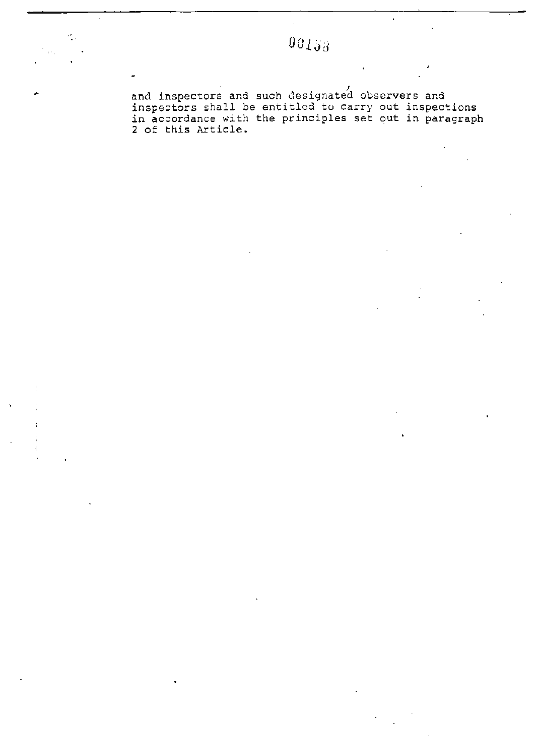$\cdot$  .

 $\mathbf{r}$ 

.<br>and inspectors and such designated observers and inspectors shall be entitled to carry out inspections in accordance with the principles set out in paragraph *2* of this Article.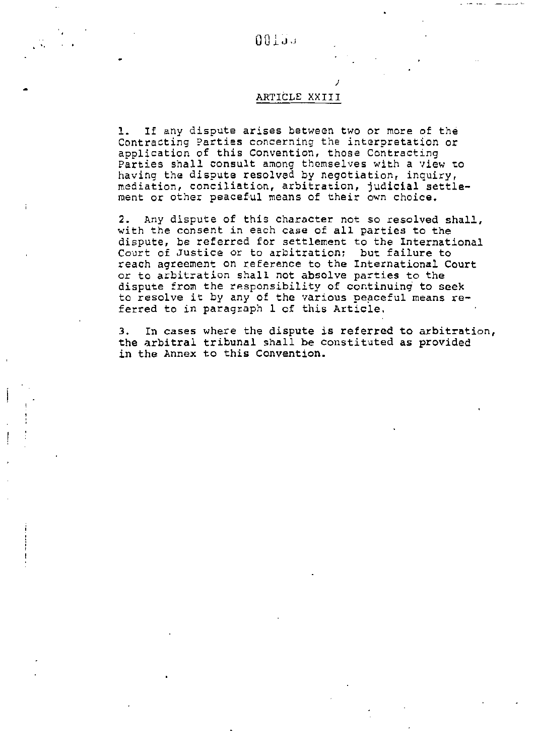### $0015.$

### ARTICLE **XXIII**

*I* 

1. If any dispute arises between two or more of the Contracting Parties concerning the interpretation or application of this Convention, those Contracting Parties shall consult among themselves with a view to having the dispute resolved by negotiation, inquiry, mediation, conciliation, arbitration, judicial settlement or other peaceful means of their own choice.

Any dispute of this character not so resolved shall, with the consent in each case of all parties to the dispute, be referred for settlement to the International Court of Justice or to arbitration; but failure to reach agreement on reference to the International Court or to arbitration shall not absolve parties to the dispute from the responsibility of continuing to seek to resolve it by any of the various peaceful means referred to in paragraph 1 of this Article.

*3.* In cases where the dispute is referred to arbitration, the arbitral tribunal shall be constituted as provided in the Annex to this Convention.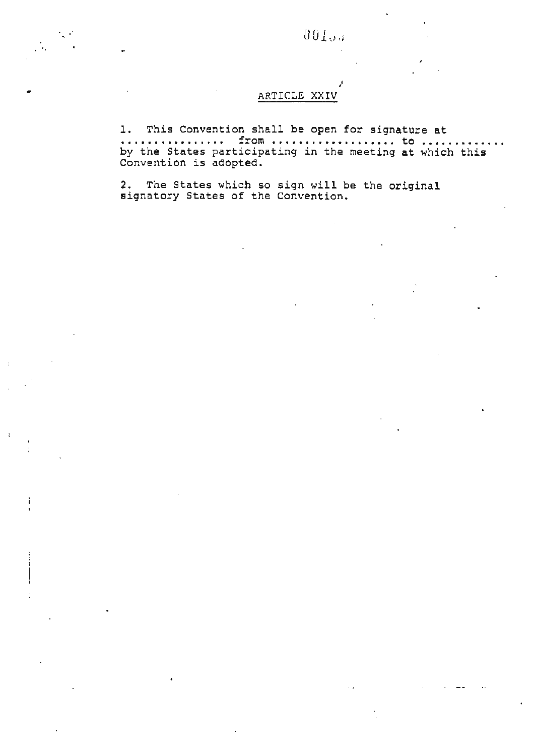### ARTICLE XXIV

1. This Convention shall be open for signature at ................ from ................... to ............ by the States participating in the meeting at which this<br>Convention is adopted.

2. The States which so sign will be the original signatory States of the Convention.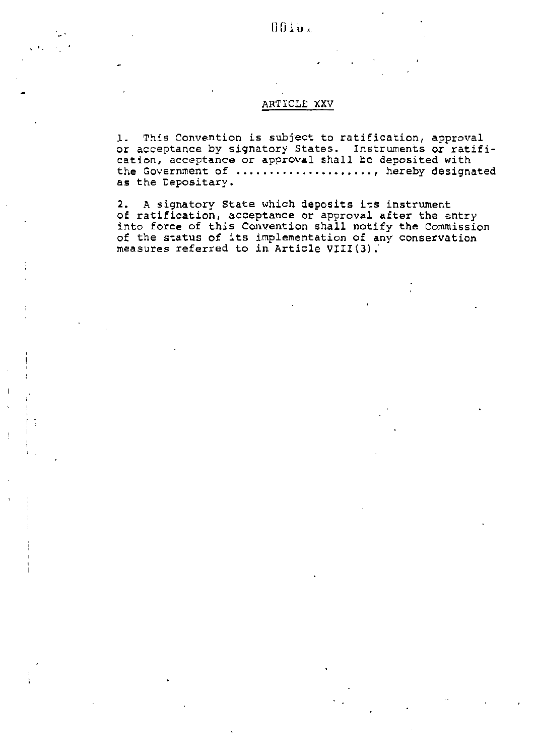#### ARTICLE XXV

1. This Convention is subject to ratification, approval or acceptance by signatory States. Instruments or ratification, acceptance or approval shall be deposited with the Government of ...................., hereby designated as the Depositary.

2. A signatory State which deposits its instrument of ratification, acceptance or approval after the entry into force of this Convention shall notify the Commission Into force of this convention shall hottly the commission<br>of the status of its implementation of any conservation measures referred to in Article VIII(3):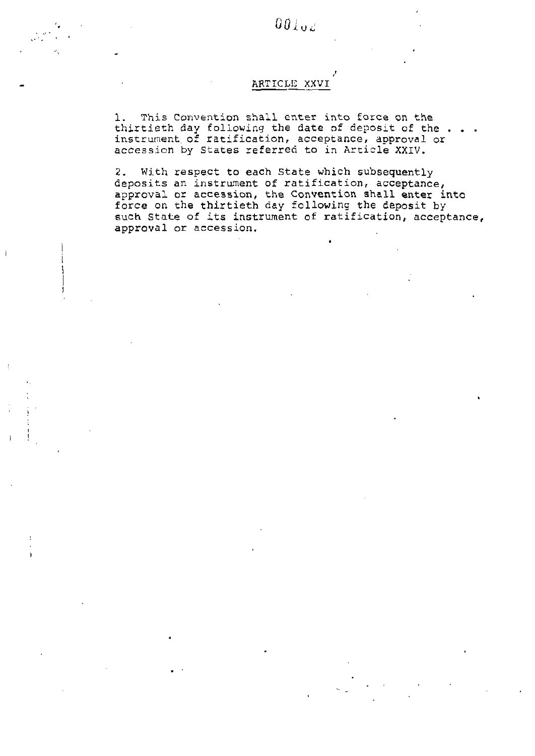### ARTICLE XXVI

1. This Convention shall enter into force on the thirtieth day following the date of deposit of the . . instrument of ratification, acceptance, approval or accession by States referred to in Article XXIV.

2. With respect to each State which subsequently deposits an instrument of ratification, acceptance, approval or accession, the Convention shall enter into force on the thirtieth day following the deposit by such State of its instrument of ratification, acceptance, approval or accession.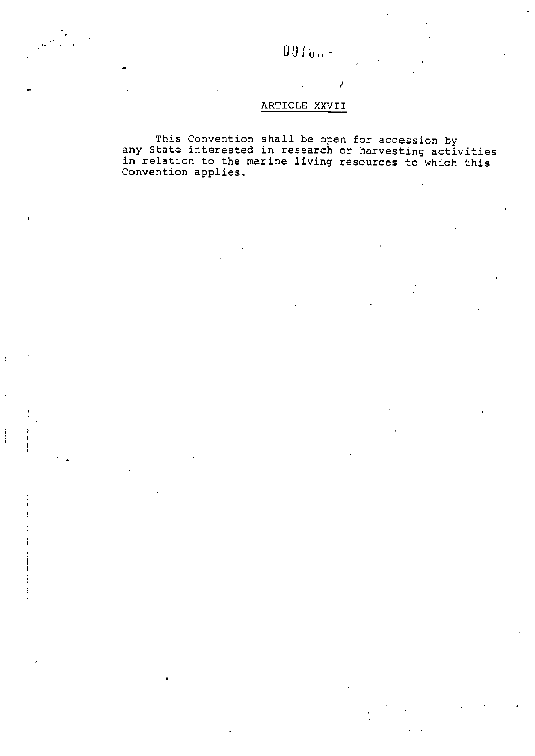$00166 -$ 

Z

 $\label{eq:2.1} \frac{1}{\sqrt{2\pi}\sqrt{2}}\int_{0}^{\sqrt{2\pi}}\frac{1}{\sqrt{2\pi}}\left(\frac{1}{\sqrt{2\pi}}\right)^{2\pi}d\tau.$ 

# ARTICLE XXVII

This Convention shall be open for accession by<br>any State interested in research or harvesting activities<br>in relation to the marine living resources to which this Convention applies.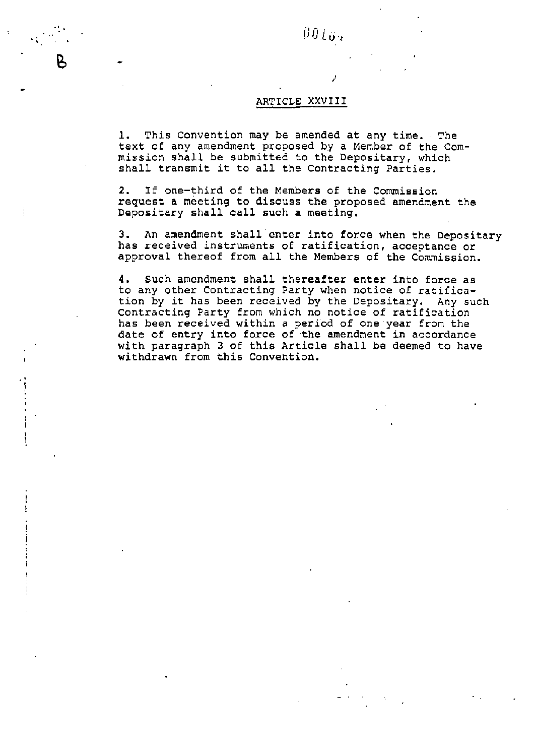# $0016\,x$

,,

#### ARTICLE XXVIII

••

.<br>.<br>. l . 1. This Convention may be amended at any time. The text of any amendment proposed by a Member of the Commission shall be submitted to the Depositary, which shall transmit it to all the Contracting Parties.

2. If one-third of the Members of the Commission request a meeting to discuss the proposed amendment the Depositary shall call such a meeting.

3. An amendment shall enter into force when the Depositary has received instruments of ratification, acceptance or approval thereof from all the Members of the Commission.

**4.** Such amendment shall thereafter enter into force as to any other Contracting Party when notice of ratification by it has been received by the Depositary. Any such Contracting Party from which no notice of ratification has been received within a period of one year from the date of entry into force of the amendment in accordance with paragraph 3 of this Article shall be deemed to have withdrawn from this Convention.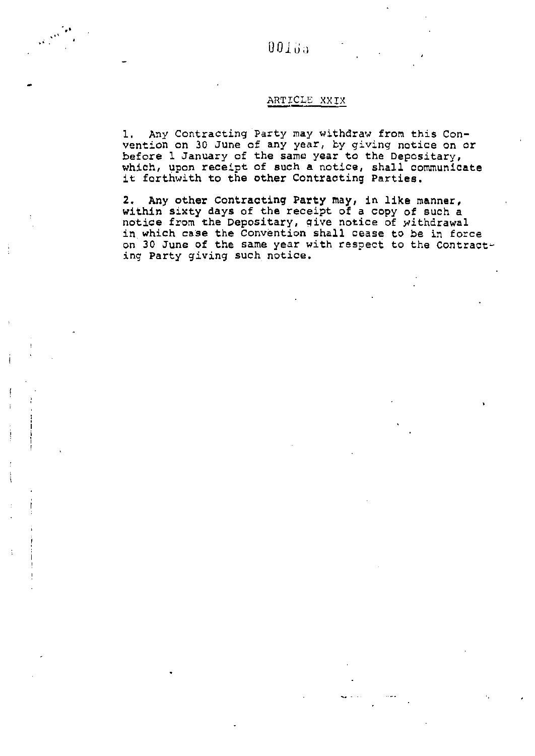••

#### ARTICLE XXIX

1, Any Contracting Party may withdraw from this Convention on 30 June of any year, by giving notice on or before l January of the same year to the Depositary, which, upon receipt of such a notice, shall communicate it forthwith to the other Contracting Parties.

2. Any other Contracting Party may, in **like** manner, within sixty days of the receipt of a copy of such a notice from the Depositary, qive notice of withdrawal in which case the Convention shall cease to be in force on 30 June of the same year with respect to the Contracting Party giving such notice.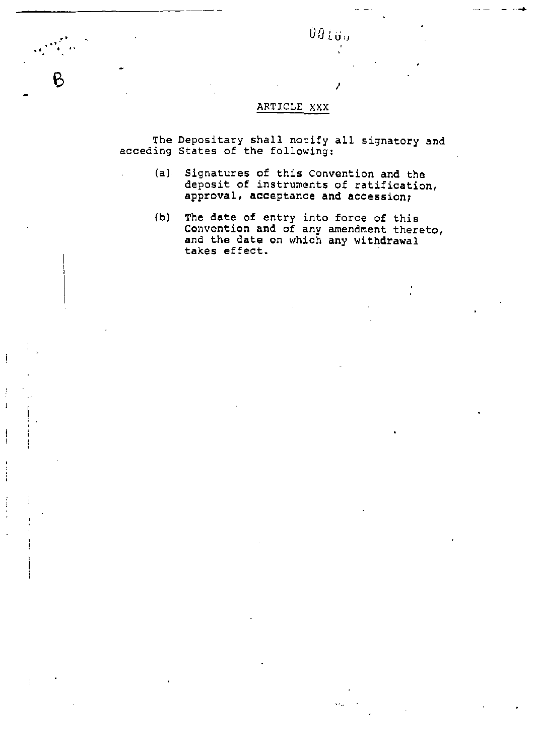### ARTICLE XXX

The Depositary shall notify all signatory and acceding States of the following:

 $\theta$ 

- Signatures of this Convention and the<br>deposit of instruments of ratification,  $(a)$ approval, acceptance and accession;
- The date of entry into force of this<br>Convention and of any amendment thereto,<br>and the date on which any withdrawal  $(b)$ takes effect.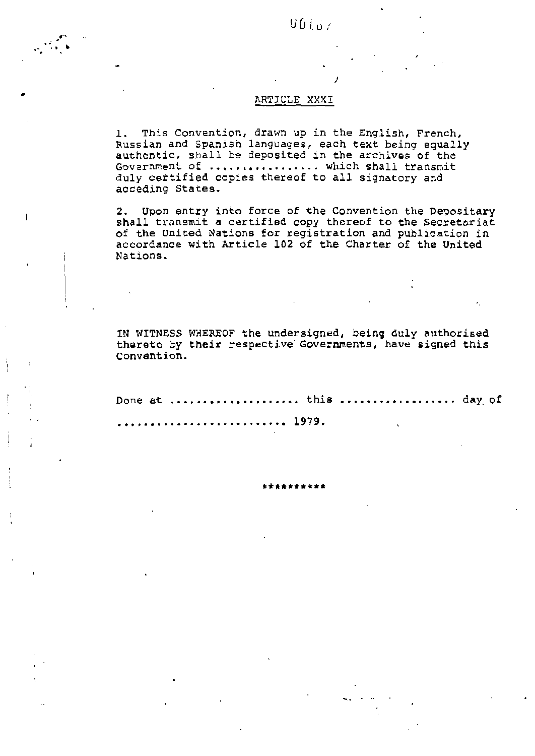#### ARTICLE XXXI

This Convention, drawn up in the English, French,  $1.$ Russian and Spanish languages, each text being equally<br>authentic, shall be deposited in the archives of the Government of .................. which shall transmit<br>duly certified copies thereof to all signatory and acceding States.

Upon entry into force of the Convention the Depositary  $2.$ shall transmit a certified copy thereof to the Secretariat<br>of the United Nations for registration and publication in accordance with Article 102 of the Charter of the United Nations.

IN WITNESS WHEREOF the undersigned, being duly authorised thereto by their respective Governments, have signed this Convention.

Done at .................... this ................... day of ...................... 1979.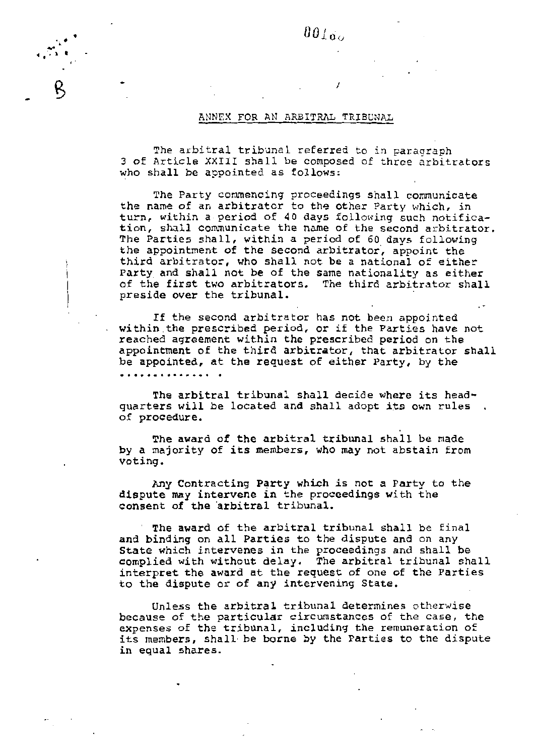#### ANNEX FOR AN ARBITRAL TRIBUNAL

 $\frac{1}{2}$ 

The arbitral tribunal referred to in paragraph 3 of Article XXIII shall be composed of three arbitrators who shall be appointed as follows:

The Party commencing proceedings shall communicate the name of an arbitrator to the other Party which, in turn, within a period of 40 days following such notification, shall communicate the name of the second arbitrator. The Parties shall, within a period of 60 days following the appointment of the second arbitrator, appoint the third arbitrator, who shall not be a national of either Party and shall not be of the same nationality as either of the first two arbitrators. The third arbitrator shall preside over the tribunal.

If the second arbitrator has not been appointed within the prescribed period, or if the Parties have not reached agreement within the prescribed period on the appointment of the third arbitrator, that arbitrator shall be appointed, at the request of either Party, by the . . . . . . . . . . . . . . .

The arbitral tribunal shall decide where its headquarters will be located and shall adopt its own rules of procedure.

The award of the arbitral tribunal shall be made by a majority of its members, who may not abstain from voting.

Any Contracting Party which is not a Party to the dispute may intervene in the proceedings with the consent of the arbitral tribunal.

The award of the arbitral tribunal shall be final and binding on all Parties to the dispute and on any State which intervenes in the proceedings and shall be complied with without delay. The arbitral tribunal shall interpret the award at the request of one of the Parties to the dispute or of any intervening State .

Unless the arbitral tribunal determines otherwise because of the particular circumstances of the case, the expenses of the tribunal, including the remuneration of its members, shall· be borne by the Parties to the dispute in equal shares.

# $00100$

,'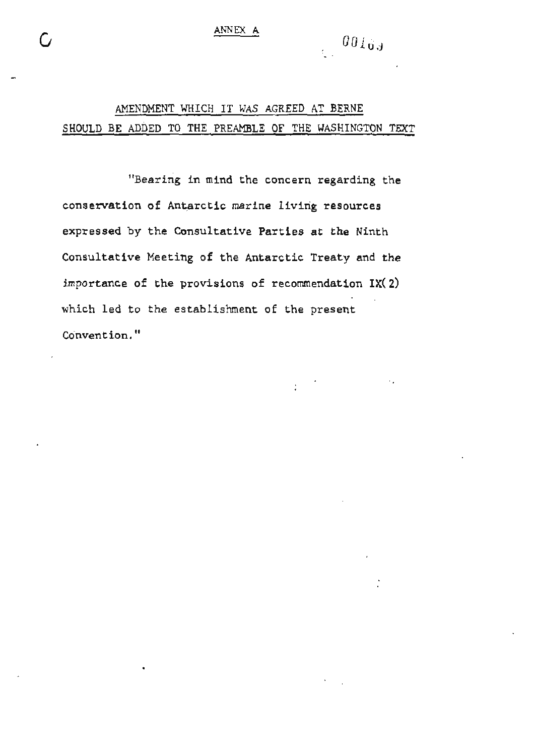# C ANNEX A

*oo* 1 o .j

# AMENDMENT WHICH IT WAS AGREED AT BERNE SHOULD BE ADDED TO THE PREAMBLE OF THE WASHINGTON TEXT

"Bearing in mind the concern regarding the conservation of Antarctic marine living resources expressed by the Consultative Parties at the Ninth Consultative Meeting *of* the Antarctic Treaty and the importance of the provisions of recommendation IX(2) which led to the establishment of the present Convention. "

£.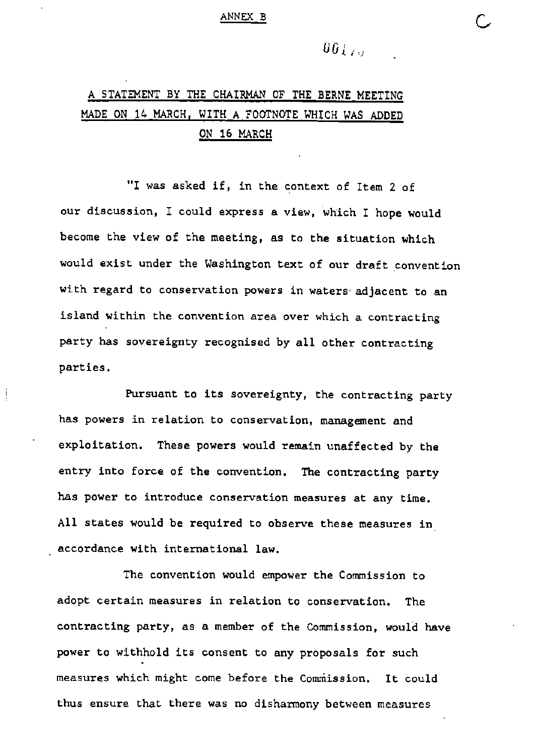#### ANNEX B

 $001$  I,  $\mu$ 

# A STATEMENT BY THE CHAIRMAN OF THE BERNE MEETING MADE ON 14 MARCH, WITH A FOOTNOTE WHICH WAS ADDED ON 16 MARCH

"I was asked if, in the context of Item 2 of our discussion, I could express a view, which I hope would become the view of the meeting, as to the situation which would exist under the Washington text of our draft convention with regard to conservation powers in waters· adjacent to an island within the convention area over which a contracting party has sovereignty recognised by all other contracting parties.

Pursuant to its sovereignty, the contracting party has powers in relation to conservation, management and exploitation. These powers would remain unaffected by the entry into force of the convention. The contracting party has power to introduce conservation measures at any time. All states would be required to observe these measures in accordance with international law.

The convention would empower the Commission to adopt certain measures in relation to conservation. The contracting party, as a member of the Commission, would have power to withhold its consent to any proposals for such measures which might come before the Commission. It could thus ensure that there was no dishannony between measures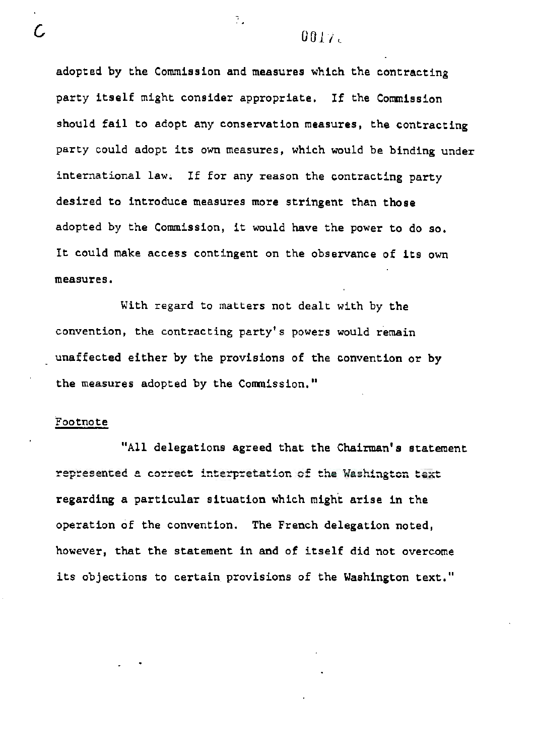# $C$  001/<sub>c</sub>

adopted by the Commission and measures which the contracting party itself might consider appropriate. If the Commission should fail to adopt any conservation measures, the contracting party could adopt its own measures, which would be binding under international law. If for any reason the contracting party desired to introduce measures more stringent than those adopted by the Commission, it would have the power to do so. It could make access contingent on the observance of its own measures.

With regard to matters not dealt with by the convention, the contracting party's powers would remain unaffected either by the provisions of the convention or by the measures adopted by the Conmission.'\*

### Footnote

"All delegations agreed that the Chairman's statement represented a correct interpretation of the Washington text regarding a particular situation which might **arise** in the operation of the convention. The French delegation noted, however, that the statement in and of itself did not overcome its objections to certain provisions of the Washington text."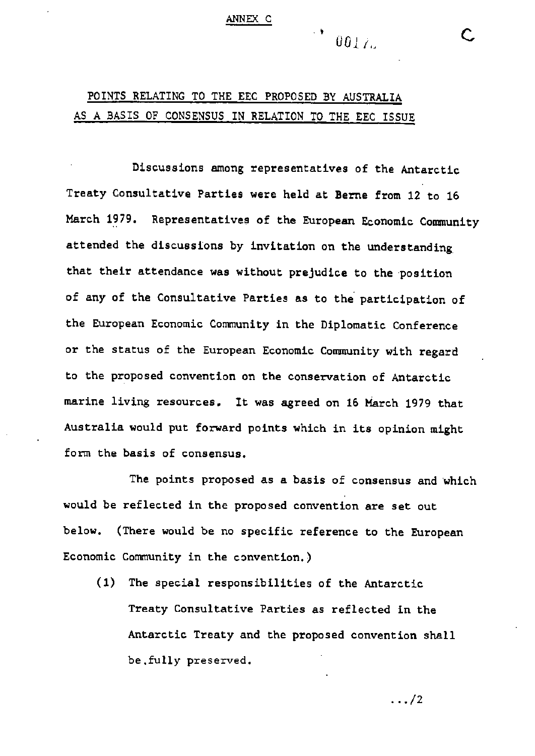#### ANNEX C

# 0017.

 $\cdot$  +

C

# POINTS RELATING TO THE EEC PROPOSED BY AUSTRALIA AS A BASIS OF CONSENSUS IN RELATION TO THE EEC ISSUE

Discussions among representatives of the Antarctic. Treaty Consultative Parties were held **at Berne** from 12 to 16 March 1979. Representatives of the European Economic Community attended the discussions by invitation on the understanding. that their attendance was without prejudice to the position of any of the Consultative Parties as to the participation of the European Economic Community in the Diplomatic Conference or the status of the European Economic Community with regard to the proposed convention on the conservation of Antarctic marine living resources. It was agreed on 16 March 1979 that Australia would put forward points which in its opinion might form the basis of consensus.

The points proposed as a basis of consensus and which would be reflected in the proposed convention are set out below. (There would be no specific reference to the European Economic Community in the convention.)

(1) The special responsibilities of the Antarctic Treaty Consultative Parties as reflected in the Antarctic Treaty and the proposed convention shall be.fully preserved.

. .. /2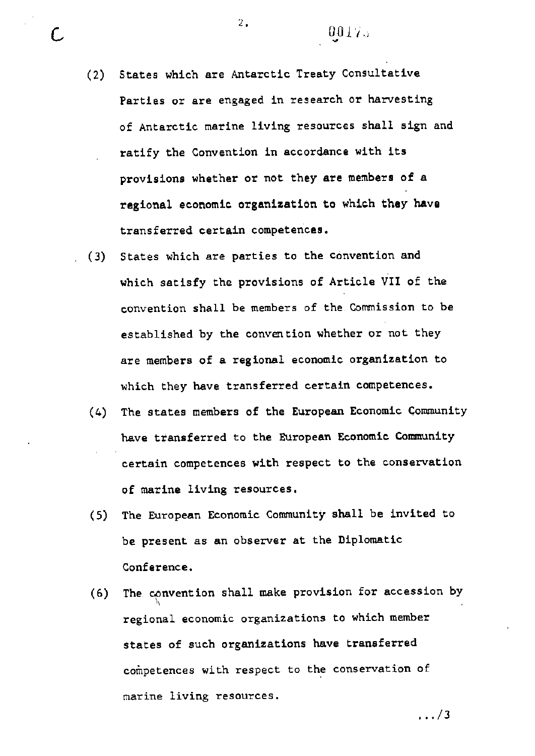(2) States which are Antarctic Treaty Consultative Parties or are engaged in research or harvesting of Antarctic marine living resources shall sign and ratify the Convention in accordance with its provisions whether or not they are members of a **regional** economic **organization** to which **they have**  transferred certain competences.

2.

 $\Gamma$ 

- (3) States which are parties to the convention and which satisfy the provisions of Article VII of the convention shall be members of the Commission to be established by the convention whether or not they are members of a regional economic organization to which they have transferred certain competences.
	- (4) The states members of the European Economic Community have transferred to the European Economic Community certain competences with respect to the conservation of marine living resources.
	- (S) The European Economic Community shall be invited to be present as an observer at the Diplomatic Conference.
	- (6) The convention shall make provision for accession by regional economic organizations to which member states of such organizations have transferred competences with respect to the conservation of marine living resources.

. .. /3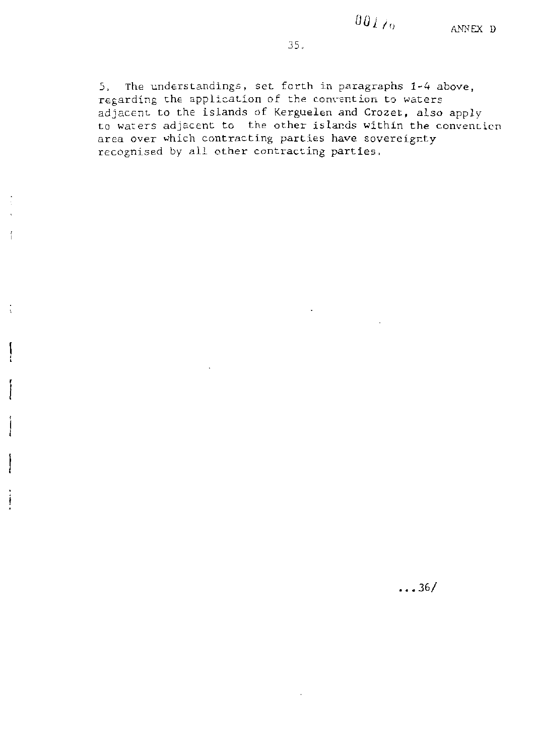5. The understandings, set forth in paragraphs 1-4 above, regarding the application of the convention to waters adjacent to the islands of Kerguelen and Crozet, also apply to waters adjacent to the other islands within the convention area over which contracting parties have sovereignty recognised by all other contracting parties.

 $\frac{7}{1}$ 

 $\ldots$  36/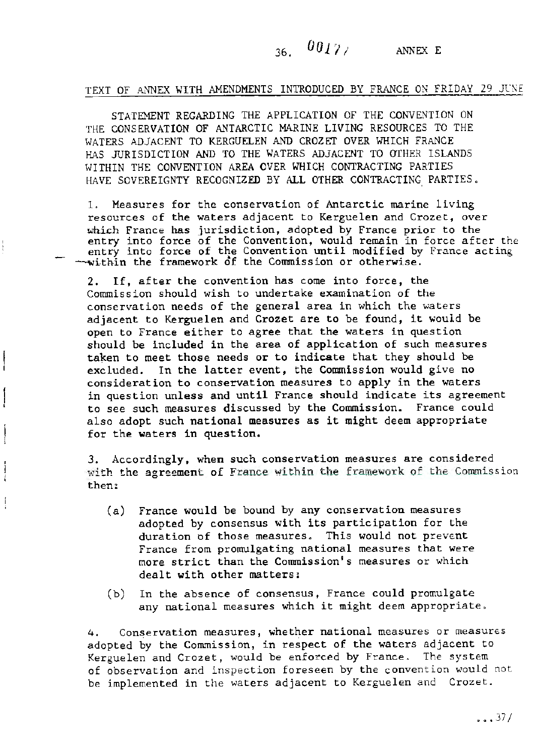# 36.  $0017$  ANNEX E

### TEXT OF ANNEX WITH AMENDMENTS INTRODUCED BY FRANCE ON FRIDAY 29 JUNE

STATEMENT REGARDING THE APPLICATION OF THE CONVENTION ON THE CONSERVATION OF ANTARCTIC MARINE LIVING RESOURCES TO THE WATERS ADJACENT TO KERGUELEN AND CROZET OVER WHICH FRANCE HAS JURISDICTION AND TO THE WATERS ADJACENT TO OTHER ISLANDS WITHIN THE CONVENTION AREA OVER WHICH CONTRACTING PARTIES HAVE SOVEREIGNTY RECOGNIZED BY ALL OTHER CONTRACTING PARTIES.

1. Measures for the conservation of Antarctic marine living resources of the waters adjacent to Kerguelen and Crozet, over resources of the waters adjacent to Kergueren and Crozet, over<br>which France has jurisdiction, adopted by France prior to the entry into force of the Convention, would remain in force after the entry into force of the Convention, would femally in force after the<br>entry into force of the Convention until modified by France acting ently filto force of the conveneron diele modified by<br>within the framework of the Commission or otherwise.

2. If, after the convention has come into force, the Commission should wish to undertake examination of the conservation needs of the general area in which the waters adjacent to Kerguelen and Crozet are to be found, it would be open to France either to agree that the waters in question should be included in the area of application of such measures taken to meet those needs or to indicate that they should be excluded. In the latter event, the Commission would give no consideration to conservation measures to apply in the waters in question unless and until France should indicate its agreement to see such measures discussed by the Commission. France could also adopt such national measures as it might deem appropriate for the waters in question.

3. Accordingly, when such conservation measures are considered with the agreement of France within the framework of the Commission then:

- (a) France would be bound by any conservation measures adopted by consensus with its participation for the duration of those measures. This would not prevent France from promulgating national measures that were more strict than the Commission's measures or which dealt with other matters:
- (b) In the absence of consensus, France could promulgate any national measures which it might deem appropriate.

4. Conservation measures, whether national measures or measures adopted by the Commission, in respect of the waters adjacent to Kerguelen and Crozet, would be enforced by France. The system of observation and inspection foreseen by the convention would not be implemented in the waters adjacent to Kerguelen and Crozet.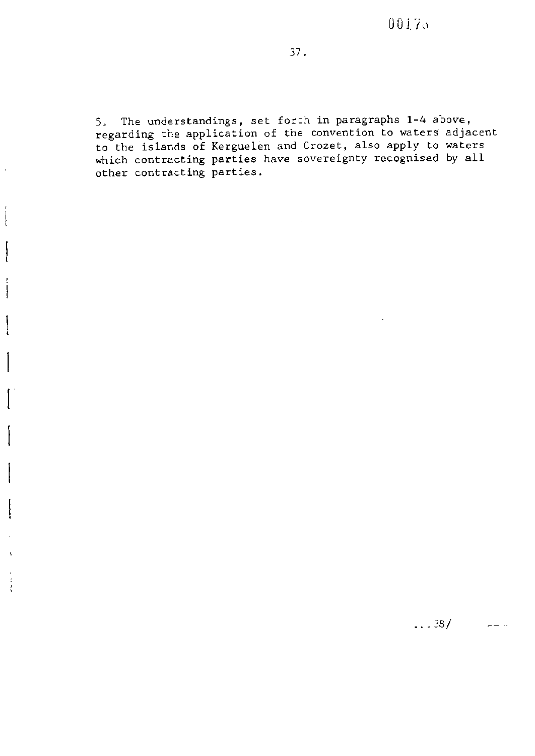S. The understandings, set forth in paragraphs 1-4 above, regarding the application of the convention to waters adjacent to the islands of Kerguelen and Crozet, also apply to waters which contracting parties have sovereignty recognised by all other contracting parties.

 $\mathbf{I}$ 

 $\mathbf{i}$ 

j

 $\mathbf{I}^{\mathbf{I}}$  .

 $\ddot{\cdot}$ 

. .. 38/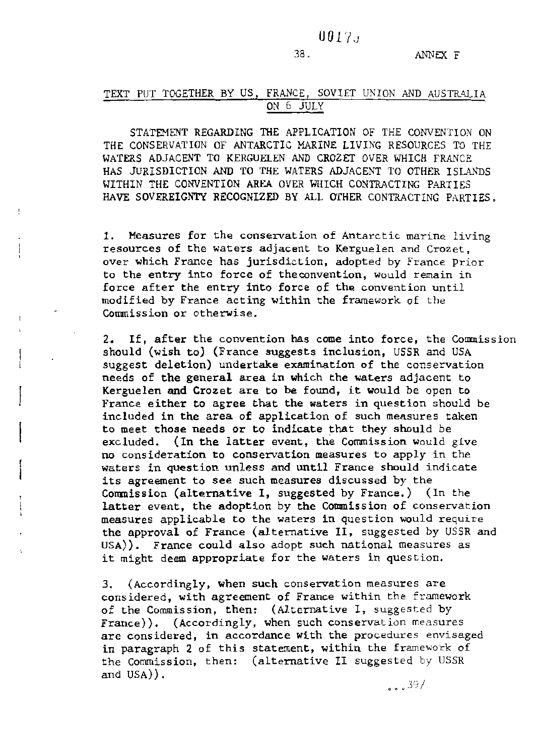38 . ANNEX F

### TEXT PUT TOGETHER BY US, FRANCE, SOVIET UNION AND AUSTRALIA ON 6 JULY

STATEMENT REGARDING THE APPLICATION OF THE CONVENTION ON THE CONSERVATION OF ANTARCTIC MARINE LIVING RESOURCES TO THE WATERS ADJACENT TO KERGUElEN AND CROZET OVER WHICH FRANCE HAS JURISDICTION AND TO THE WATERS ADJACENT TO OTHER ISLANDS WITHIN THE CONVENTION AREA OVER WHICH CONTRACTING PARTIES HAVE SOVEREIGNTY RECOGNIZED BY ALL OTHER CONTRACTING PARTIES .

1. Measures for the conservation of Antarctic marine living resources of the waters adjacent to Kerguelen and Crozet. over which France has jurisdiction, adopted by France prior to the entry into force of theconvention, would remain in force after the entry into force of the convention until modified by France acting within the framework of the Commission or otherwise.

2. If, after the convention has come into force, the Commission should (wish to) (France suggests inclusion, USSR and USA suggest deletion) undertake examination of the conservation needs of the general area in which the waters adjacent to Kerguelen and Crozet are to be found, it would be open to France either to agree that the waters in question should be included in the area of application of such measures taken to meet those needs or to indicate that they should be excluded. (In the latter event, the Commission would give no consideration to conservation measures to apply in the waters in question unless and until France should indicate its agreement to see such measures discussed by the Comnission (alternative I, suggested by France,) (In the latter event, the adoption by the Commission of conservation measures applicable to the waters in question would require the approval of France (alternative II, suggested by USSR and USA)). France could also adopt such national measures as it might deem appropriate for the waters in question.

3. (Accordingly, when such conservation measures are considered, with agreement of France within the framework of the Commission, then: (Alternative I, suggested by France)). (Accordingly, when such conservation measures are considered, in accordance with the procedures envisaged in paragraph 2 of this statement, within the framework of the Commission, then: (alternative II suggested by USSR and USA)).  $39/$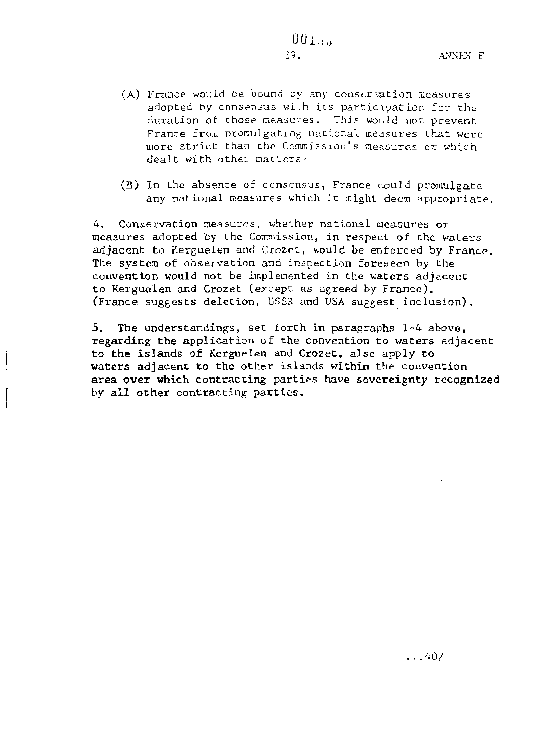- (A) France would be bound by any conservation measures adopted by consensus with its participation for the duration of those measures. This would not prevent France from promulgating national measures that were more strict than the Commission's measures or which dealt with other matters:
- (B) In the absence of consensus, France could promulgate any national measures which it might deem appropriate.

Conservation measures, whether national measures or  $4.$ measures adopted by the Commission, in respect of the waters adjacent to Kerguelen and Crozet, would be enforced by France. The system of observation and inspection foreseen by the convention would not be implemented in the waters adjacent to Kerguelen and Crozet (except as agreed by France). (France suggests deletion, USSR and USA suggest inclusion).

5. The understandings, set forth in paragraphs 1-4 above, regarding the application of the convention to waters adjacent to the islands of Kerguelen and Crozet, also apply to waters adjacent to the other islands within the convention area over which contracting parties have sovereignty recognized by all other contracting parties.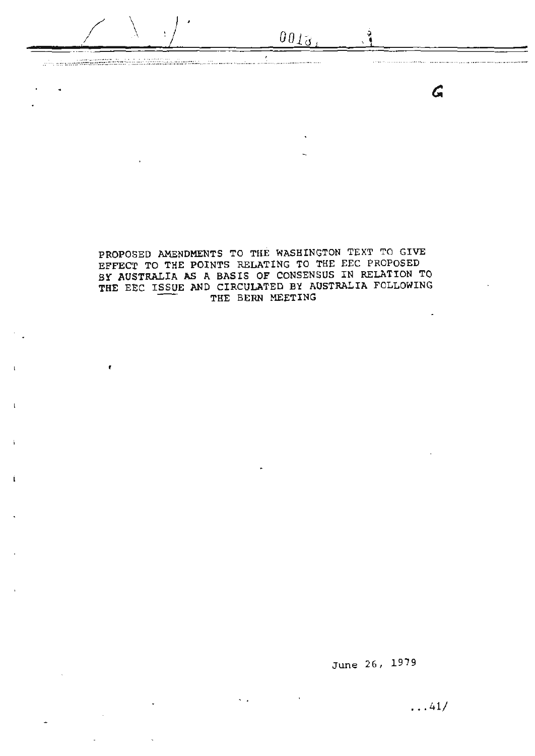PROPOSED AMENDMENTS TO THE WASHINGTON TEXT TO GIVE EFFECT TO THE POINTS RELATING TO THE EEC PROPOSED BY AUSTRALIA AS A BASIS OF CONSENSUS IN RELATION TO THE EEC ISSUE AND CIRCULATED BY AUSTRALIA FOLLOWING THE BERN MEETING

 $0013$ 

and the component of the component of the component of the component of the component of the component of the

 $\overline{\phantom{a}}$ 

June 26, 1979

 $\ldots$ 41/

G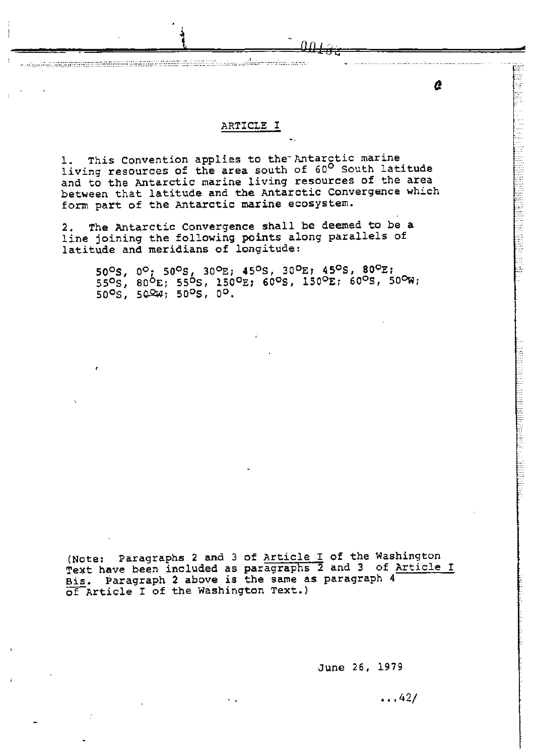### ARTICLE I

<u>e programmatica de la construcción de la construcción de la construcción de la construcción de la construcción </u>

1. This Convention applies to the Antarctic marine living resources of the area south of 60° South latitude and to the Antarctic marine living resources of the area between that latitude and the Antarctic Convergence which form part of the Antarctic marine ecosystem.

The Antarctic Convergence shall be deemed to be a  $2.$ line joining the following points along parallels of latitude and meridians of longitude:

50°S, 0°; 50°S, 30°E; 45°S, 30°E; 45°S, 80°E; 550S, 80<sup>6</sup>E; 550S, 1500E; 600S, 1500E; 600S, 500W;  $50^{\circ}$ S,  $50^{\circ}$ W;  $50^{\circ}$ S,  $0^{\circ}$ .

(Note: Paragraphs 2 and 3 of Article I of the Washington Text have been included as paragraphs 2 and 3 of Article I Bis. Paragraph 2 above is the same as paragraph 4 of Article I of the Washington Text.)

June 26, 1979

 $\ldots$ 42/

Ŀ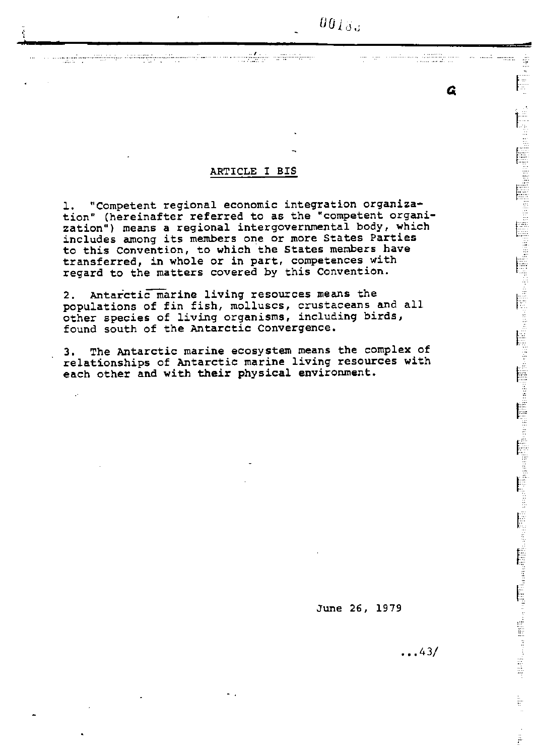an agus comúnada dhuinnis ann

Q

. The contraction of the contraction of the contraction of the contraction of the contraction of the contraction of the contraction of the contraction of the contraction of the contraction of the contraction of the contrac

ţ.

ă.<br>C

### ARTICLE I BIS

مسهشهد عياليت مناصب والمنابعة والمستقلب

"Competent regional economic integration organizaı. tion" (hereinafter referred to as the "competent organization") means a regional intergovernmental body, which includes among its members one or more States Parties to this Convention, to which the States members have transferred, in whole or in part, competences with regard to the matters covered by this Convention.

Antarctic marine living resources means the  $2.$ populations of fin fish, molluscs, crustaceans and all other species of living organisms, including birds, found south of the Antarctic Convergence.

The Antarctic marine ecosystem means the complex of з. relationships of Antarctic marine living resources with each other and with their physical environment.

### June 26, 1979

 $\ldots$ 43/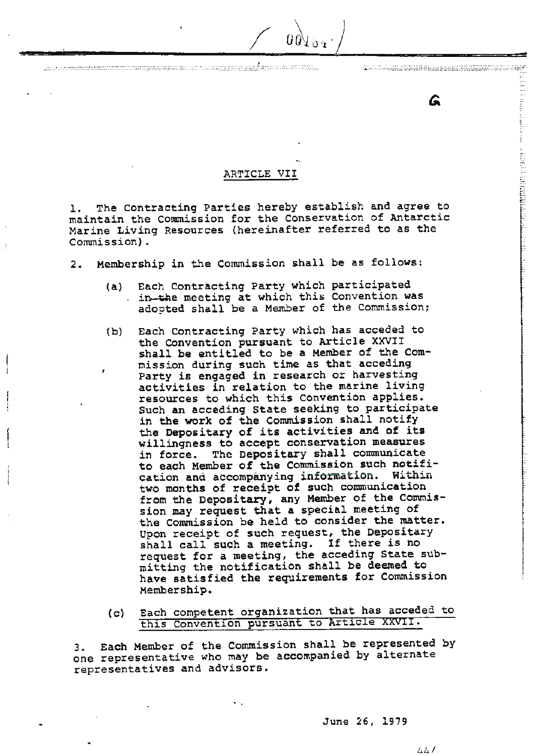### ARTICLE VII

 $00\lambda_{\rm{dS}}$ 

, a provincia de la composición de la proposición de la composición de la composición de la composición de la<br>En 1999 e composición de la composición de la composición de la composición de la composición de la composició

G

a ha bound the specific and the state of the state of the state of the state of the state of the state of the state of the state of the state of the state of the state of the state of the state of the state of the state of

The Contracting Parties hereby establish and agree to ı. maintain the Commission for the Conservation of Antarctic Marine Living Resources (hereinafter referred to as the Commission).

Membership in the Commission shall be as follows:  $\overline{2}$  .

- Each Contracting Party which participated  $(a)$ . in the meeting at which this Convention was adopted shall be a Member of the Commission;
- Each Contracting Party which has acceded to  $(b)$ the Convention pursuant to Article XXVII shall be entitled to be a Member of the Commission during such time as that acceding Party is engaged in research or harvesting activities in relation to the marine living resources to which this Convention applies. Such an acceding State seeking to participate in the work of the Commission shall notify the Depositary of its activities and of its willingness to accept conservation measures The Depositary shall communicate in force. to each Member of the Commission such notification and accompanying information. Within two months of receipt of such communication from the Depositary, any Member of the Commission may request that a special meeting of the Commission be held to consider the matter. Upon receipt of such request, the Depositary shall call such a meeting. If there is no request for a meeting, the acceding State submitting the notification shall be deemed to have satisfied the requirements for Commission Membership.

Each competent organization that has acceded to  $(c)$ this Convention pursuant to Article XXVII.

Each Member of the Commission shall be represented by 3. one representative who may be accompanied by alternate representatives and advisors.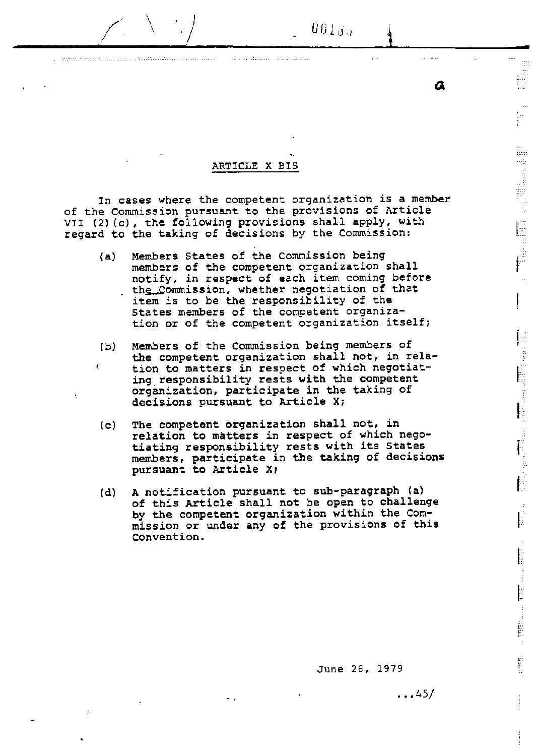-

Q

I .... ..... ...

 $\bar{\phi}$ 

E.

I = r

f:.-

 $\mathop{\mathop{\vphantom{\rule{0pt}{0.5pt}}}}\nolimits$ 

 $\mathbf{E}$ 

 $\mathbb{I}$ 

F **(** *F F F F F F F F F F* 

I:: r ; .

### ARTICLE X BIS

*')* 

(

p termine the set

In cases where the competent organization is a member of the commission pursuant to the provisions of Article VII (2) (c), the following provisions shall apply, with regard to the taking of decisions by the Commission:

- {a) Members States of the Commission being members of the competent organization **shall**  notify, in respect of each item coming before the Commission, whether negotiation of that item is to be the responsibility of the States members of the competent organization or of the competent organization itself;
- Cb) Members of the Commission being members of the competent organization shall not, in relation to matters in respect of which negotiating responsibility rests with the competent organization, participate in the taking of decisions pursuant to Article X;
- (c) The competent organization shall not, in relation to matters in respect of which negotiating responsibility rests with its States members, participate in the taking of decisions pursuant to Article X;
- (d) A notification pursuant to sub-paragraph (a) of this Article shall not be open to challenge by the competent organization within the Commission or under any of the provisions of this Convention.

June 26, 1979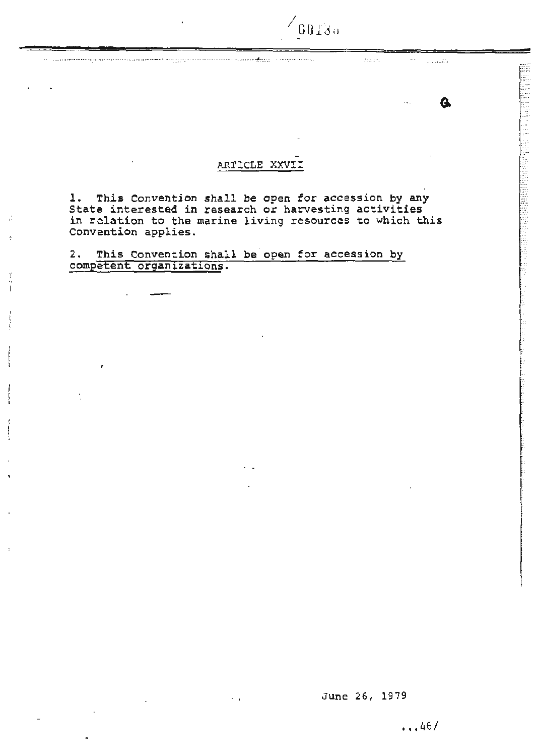### ARTICLE XXVII

 $\degree$ 00130

1. This Convention shall be open for accession by any<br>State interested in research or harvesting activities<br>in relation to the marine living resources to which this Convention applies.

2. This Convention shall be open for accession by competent organizations.

G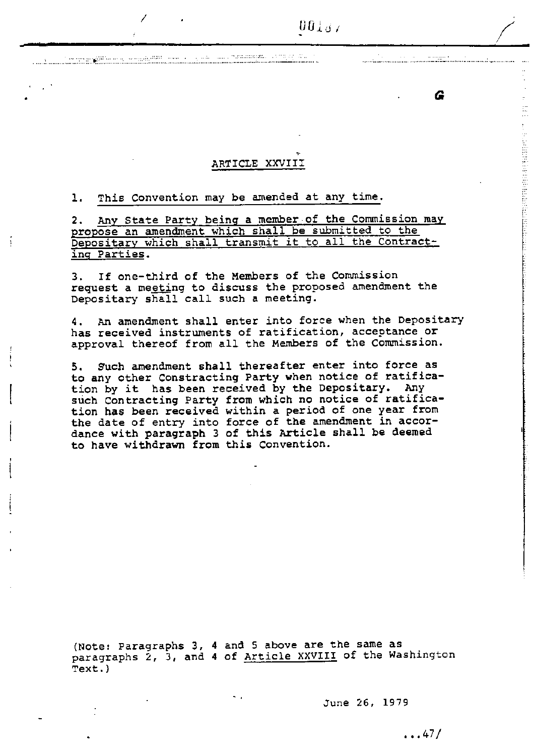### ARTICLE XXVIII

 $001$ dr

G

ii<br>iii

**Production of the constitution of the constant of the constant of the constant of the constant of the constant of the constant of the constant of the constant of the constant of the constant of the constant of the constan** 

This Convention may be amended at any time.  $1.$ 

and an anti-particular communication of the contract of the contract of the contract of the contract of the co

Any State Party being a member of the Commission may 2. propose an amendment which shall be submitted to the Depositary which shall transmit it to all the Contracting Parties.

If one-third of the Members of the Commission 3. request a meeting to discuss the proposed amendment the Depositary shall call such a meeting.

An amendment shall enter into force when the Depositary 4. has received instruments of ratification, acceptance or approval thereof from all the Members of the Commission.

Such amendment shall thereafter enter into force as 5. to any other Constracting Party when notice of ratification by it has been received by the Depositary. Any such Contracting Party from which no notice of ratifica-<br>tion has been received within a period of one year from the date of entry into force of the amendment in accordance with paragraph 3 of this Article shall be deemed to have withdrawn from this Convention.

(Note: Paragraphs 3, 4 and 5 above are the same as paragraphs 2, 3, and 4 of Article XXVIII of the Washington  $Text.)$ 

June 26, 1979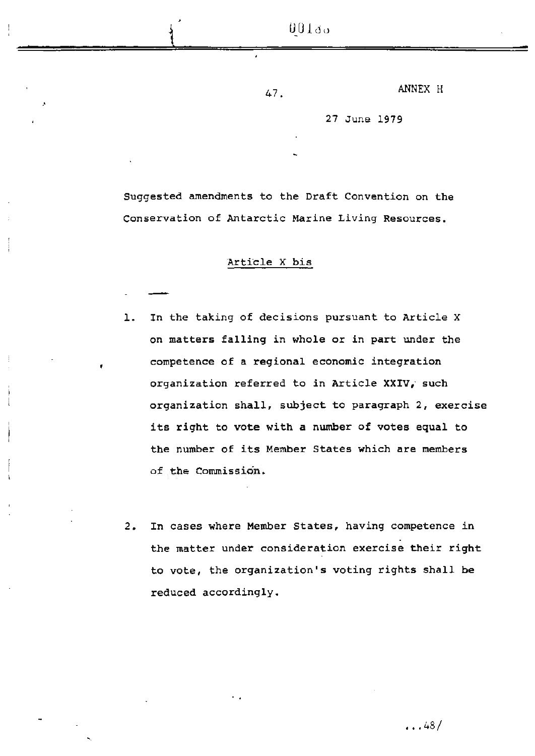47. ANNEX H

·'

"·

27 June 1979

Suggested amendments to the Draft Convention on the Conservation of Antarctic Marine Living Resources.

### Article X bis

- 1. In the taking of decisions pursuant to Article X on matters falling in whole or in part under the competence of a regional economic integration organization referred to in Article XXIV, such organization shall, subject to paragraph 2, exercise its right to vote with a number of votes equal to the number of its Member States which are members of the Commission.
- 2. In cases where Member States, having competence in the matter under consideration exercise their right to vote, the organization's voting rights shall be reduced accordingly.

 $\ldots$  48/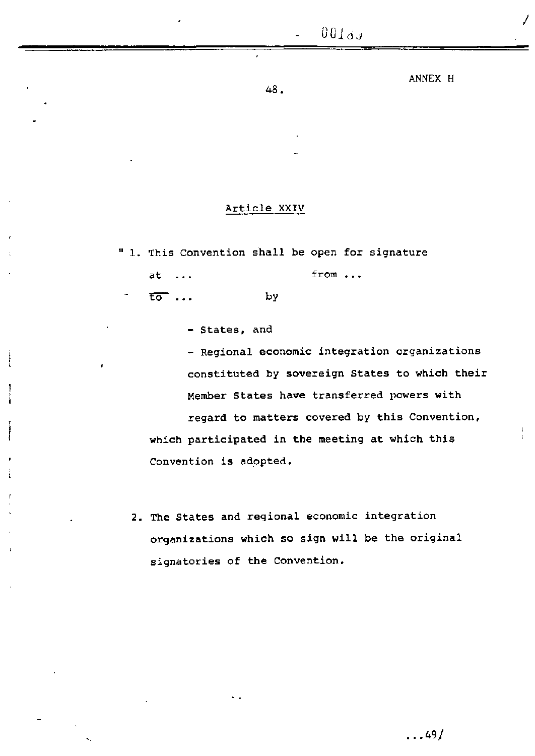ANNEX H

*I* 

48 •

### Article XXIV

" 1. This Convention shall be open for signature at ... **from ...**  $\overline{t_0}$  ... by

- States, and

~ .

•

'·

- Regional economic integration organizations constituted by sovereign States to which their Member States have transferred powers with regard to matters covered by this Convention, which participated in the meeting at which this Convention is adopted.

2. The States and regional economic integration organizations which so sign will be the original signatories of the Convention.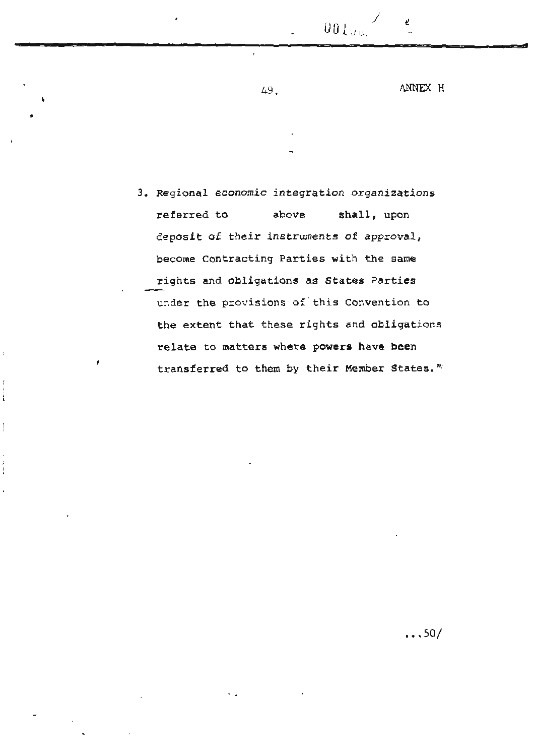49. ANNEX H

Ł

3. Regional economic integration organizations referred to above shall, upon deposit of their instruments of approval, become Contracting Parties with the same rights and obligations as States Parties under the provisions of this Convention to the extent that these rights and obligations relate to matters where powers have been transferred to them by their Member States."

 $\ldots$ 50/

 $00130$ 

•

•

i

 $\left| \right|$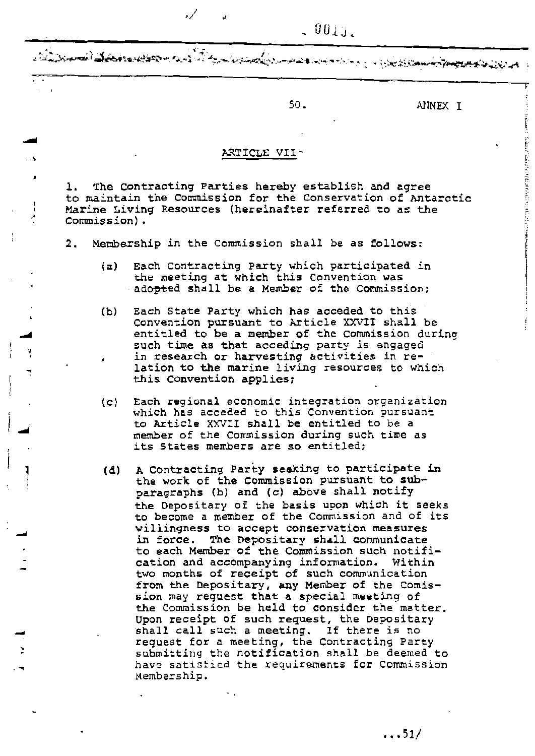$-001$   $J_{+}$ 

An Directed (Andrew Control of Commission of Commission of the Commission of Templet of Indian of the Control of the

so .

ANNEX I

;~ [;'

j

' I

In the company of the company of the company of the company of the company of the company of the company of the company of the company of the company of the company of the company of the company of the company of the compa

### ARTICLE VII-

l. The Contracting Parties hereby establish and agree to maintain the Commission for the Conservation of Antarctic Marine Living Resources (hereinafter referred to as the Commission) •

2. Membership in the Commission shall be as follows:

,/

.·'

I I ,,

,1

...

~ • ...

.ii

..:

-

' . ~

- $(a)$ Each Contracting Party which participated in the meeting at which this Convention was adorted shall be a Member of the Commission;
- (b) Each State Party which has acceded to this Convention pursuant to Article XXVII shall be entitled to be a member of the Commission during such time as that acceding party is engaged in research or harvesting activities in re-<br>lation to the marine living resources to which this Convention applies;
- $(c)$ Each regional economic integration organization which has acceded to this Convention pursuant to Article **XXVII** shall be entitled to be a member of the Commission during such time as its States members are so entitled:
- (d) A Contracting Party seeking to participate in the work of the Commission pursuant to subparagraphs (b) and (c) above shall notify the Depositary of the basis upon which it seeks to become a member of the Commission and of its willingness to accept conservation measures<br>in force. The Depositary shall communicate The Depositary shall communicate to each Member of the Commission such notification and accompanying information. Within two months of receipt of such communication from the Depositary, any Member of the Comission may request that a special meeting of the Commission be held to consider the matter. Upon receipt of such request, the Depositary shall call such a meeting. If there is no request for a meeting, the Contracting Party submitting the notification shall be deemed to have satisfied the requirements for Commission Membership.

. .. 51/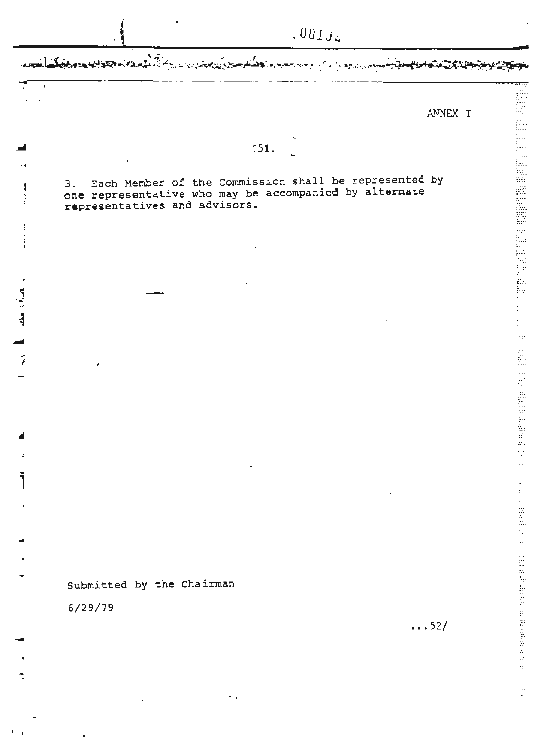| ے سے سوالے کے اس کے مطابق کے بعد اپنے اس کے بعد اس کے مطابق اس کے مطابق اس کے اس کے بعد اس کے بعد اس کے مطابق ا<br>مطابق اس کے مطابق اس کے بعد اس کے بعد اس کے بعد اس کے بعد اس کے بعد اس کے بعد اس کے بعد اس کے بعد اس کے بعد ا | <b>CALLARD COMMENT PROPERTY</b> |  |
|----------------------------------------------------------------------------------------------------------------------------------------------------------------------------------------------------------------------------------|---------------------------------|--|
|                                                                                                                                                                                                                                  |                                 |  |
|                                                                                                                                                                                                                                  | ANNEX I                         |  |
|                                                                                                                                                                                                                                  |                                 |  |
| .51.                                                                                                                                                                                                                             |                                 |  |
|                                                                                                                                                                                                                                  |                                 |  |
| Each Member of the Commission shall be represented by<br>3.<br>one representative who may be accompanied by alternate<br>representatives and advisors.                                                                           |                                 |  |
|                                                                                                                                                                                                                                  |                                 |  |
|                                                                                                                                                                                                                                  |                                 |  |
|                                                                                                                                                                                                                                  |                                 |  |
|                                                                                                                                                                                                                                  |                                 |  |
|                                                                                                                                                                                                                                  |                                 |  |
|                                                                                                                                                                                                                                  |                                 |  |
|                                                                                                                                                                                                                                  |                                 |  |
|                                                                                                                                                                                                                                  |                                 |  |
|                                                                                                                                                                                                                                  |                                 |  |
|                                                                                                                                                                                                                                  |                                 |  |
|                                                                                                                                                                                                                                  |                                 |  |
|                                                                                                                                                                                                                                  |                                 |  |
|                                                                                                                                                                                                                                  |                                 |  |
|                                                                                                                                                                                                                                  |                                 |  |
|                                                                                                                                                                                                                                  |                                 |  |
|                                                                                                                                                                                                                                  |                                 |  |
| Submitted by the Chairman                                                                                                                                                                                                        |                                 |  |
| 6/29/79                                                                                                                                                                                                                          |                                 |  |
|                                                                                                                                                                                                                                  | 52/                             |  |
|                                                                                                                                                                                                                                  |                                 |  |
|                                                                                                                                                                                                                                  |                                 |  |
|                                                                                                                                                                                                                                  |                                 |  |
|                                                                                                                                                                                                                                  |                                 |  |

Ŷ,